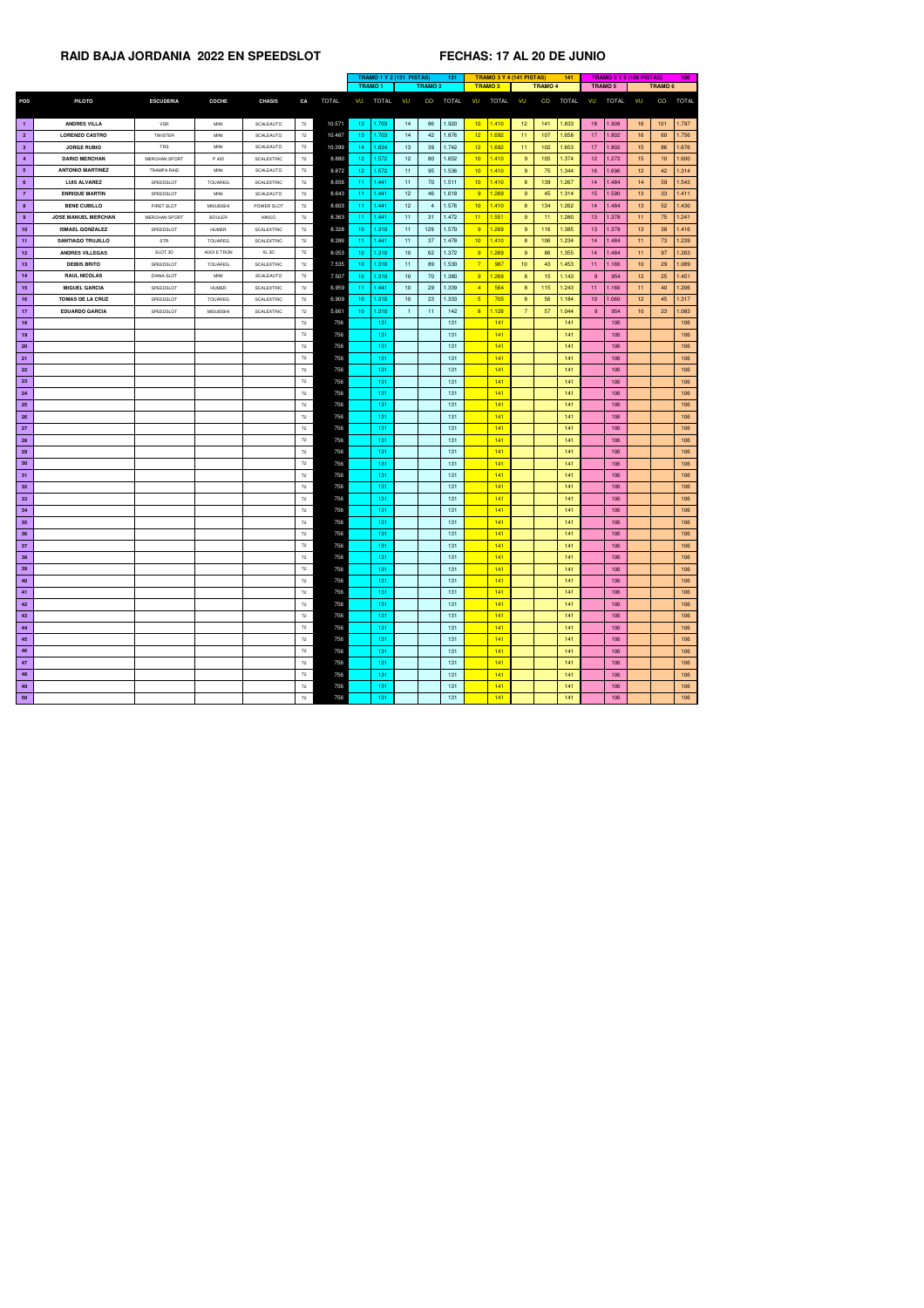|                 |                            |                      |                  |                   |                |              | <b>TRAMO 1 Y 2 (131 PISTAS)</b><br>131 |                 |                 |              |                 | <b>TRAMO 3 Y 4 (141 PISTAS)</b> |                 | 141             |              |                  | <b>TRAMO 5 Y 6 (106 PISTAS)</b> |                 | 106             |              |
|-----------------|----------------------------|----------------------|------------------|-------------------|----------------|--------------|----------------------------------------|-----------------|-----------------|--------------|-----------------|---------------------------------|-----------------|-----------------|--------------|------------------|---------------------------------|-----------------|-----------------|--------------|
|                 |                            |                      |                  |                   |                |              | <b>TRAMO1</b>                          |                 | <b>TRAMO 2</b>  |              | <b>TRAMO3</b>   |                                 |                 | <b>TRAMO 4</b>  |              | TRAMO 5          |                                 |                 | <b>TRAMO 6</b>  |              |
| <b>POS</b>      | <b>PILOTO</b>              | <b>ESCUDERIA</b>     | <b>COCHE</b>     | <b>CHASIS</b>     | CA             | <b>TOTAL</b> | VU<br><b>TOTAL</b>                     | VU              | CO              | <b>TOTAL</b> | VU              | <b>TOTAL</b>                    | VU              | CO              | <b>TOTAL</b> | VU               | <b>TOTAL</b>                    | VU              | CO              | <b>TOTAL</b> |
|                 |                            |                      |                  |                   |                |              |                                        |                 |                 |              |                 |                                 |                 |                 |              |                  |                                 |                 |                 |              |
| $\blacksquare$  | <b>ANDRES VILLA</b>        | <b>VSR</b>           | <b>MINI</b>      | SCALEAUTO         | T2             | 10.571       | 1.703<br>13 <sub>1</sub>               | 14              | 86              | 1.920        | 10 <sub>1</sub> | 1.410                           | 12 <sub>2</sub> | 141             | 1.833        | 18 <sup>°</sup>  | 1.908                           | 16              | 101             | 1.797        |
| $\overline{2}$  | <b>LORENZO CASTRO</b>      | <b>TWISTER</b>       | MINI             | SCALEAUTO         | T2             | 10.487       | 1.703<br>13.                           | 14              | 42              | 1.876        | 12 <sub>2</sub> | 1.692                           | 11              | 107             | 1.658        | 17 <sup>2</sup>  | 1.802                           | 16              | 60              | 1.756        |
| 3 <sup>1</sup>  | <b>JORGE RUBIO</b>         | TRS                  | <b>MINI</b>      | SCALEAUTO         | T2             | 10.399       | .834<br>-14                            | 13 <sup>°</sup> | 39              | 1.742        | 12              | 1.692                           | 11              | 102             | 1.653        | 17 <sub>2</sub>  | 1.802                           | 15              | 86              | 1.676        |
| $\overline{4}$  | <b>DARIO MERCHAN</b>       | <b>MERCHAN SPORT</b> | P 405            | <b>SCALEXTRIC</b> | T2             | 8.880        | 12 <sub>1</sub><br>.572                | 12              | 80              | 1.652        | 10 <sup>°</sup> | 1.410                           | 9               | 105             | 1.374        | 12 <sub>1</sub>  | 1.272                           | 15              | 10 <sup>°</sup> | 1.600        |
| 5 <sub>5</sub>  | <b>ANTONIO MARTINEZ</b>    | <b>TRAMPA RAID</b>   | MINI             | SCALEAUTO         | T2             | 8.872        | 1.572<br>12 <sub>1</sub>               | 11              | 95              | 1.536        | 10 <sub>1</sub> | 1.410                           | 9               | 75              | 1.344        | 16 <sup>°</sup>  | 1.696                           | 12 <sup>7</sup> | 42              | 1.314        |
| $6^{\circ}$     | <b>LUIS ALVAREZ</b>        | SPEEDSLOT            | <b>TOUAREG</b>   | <b>SCALEXTRIC</b> | T2             | 8.656        | 1.441<br>-11                           | 11              | 70              | 1.511        | 10 <sub>1</sub> | 1.410                           | 8               | 139             | 1.267        | 14               | 1.484                           | 14              | 59              | 1.543        |
| $\overline{7}$  | <b>ENRIQUE MARTIN</b>      | SPEEDSLOT            | <b>MINI</b>      | SCALEAUTO         | T2             | 8.643        | 1.441<br>$\overline{11}$               | 12 <sup>2</sup> | 46              | 1.618        | 9               | 1.269                           | 9               | 45              | 1.314        | 15 <sub>15</sub> | 1.590                           | 13 <sup>°</sup> | 33              | 1.411        |
| 8 <sub>1</sub>  | <b>BENE CUBILLO</b>        | PIRET SLOT           | <b>MISUBISHI</b> | POWER SLOT        | T2             | 8.603        | .441<br>-11                            | 12 <sub>2</sub> | 4               | 1.576        | 10              | 1.410                           | 8               | 134             | 1.262        | 14               | 1.484                           | 13              | 52              | 1.430        |
| 9               | <b>JOSE MANUEL MERCHAN</b> | MERCHAN SPORT        | <b>BOULER</b>    | <b>NINCO</b>      | T2             | 8.363        | .441<br>-11                            | 11              | 31              | 1.472        | 11              | 1.551                           | 9               | 11              | 1.280        | 13 <sup>°</sup>  | 1.378                           | 11              | 75              | 1.241        |
| 10              | <b>ISMAEL GONZALEZ</b>     | SPEEDSLOT            | <b>HUMER</b>     | <b>SCALEXTRIC</b> | T2             | 8.328        | 1.310<br>10 <sub>1</sub>               | 11              | 129             | 1.570        | 9               | 1.269                           | 9               | 116             | 1.385        | 13 <sup>°</sup>  | 1.378                           | 13              | 38              | 1.416        |
| $-11$           | <b>SANTIAGO TRUJILLO</b>   | <b>STR</b>           | <b>TOUAREG</b>   | <b>SCALEXTRIC</b> | T2             | 8.286        | 1.441<br>-11                           | 11              | 37              | 1.478        | 10 <sup>°</sup> | 1.410                           | 8               | 106             | 1.234        | 14               | 1.484                           | 11              | 73              | 1.239        |
| 12              | <b>ANDRES VILLEGAS</b>     | SLOT 3D              | AUDI E TRON      | XL <sub>3D</sub>  | T2             | 8.053        | 1.310<br>10 <sub>1</sub>               | 10 <sup>°</sup> | 62              | 1.372        | 9               | 1.269                           | 9               | 86              | 1.355        | 14               | 1.484                           | 11              | 97              | 1.263        |
| 13              | <b>DEIBIS BRITO</b>        | SPEEDSLOT            | <b>TOUAREG</b>   | <b>SCALEXTRIC</b> | T2             | 7.535        | 10 <sup>1</sup><br>1.310               | 11              | 89              | 1.530        | $\overline{7}$  | 987                             | 10 <sub>1</sub> | 43              | 1.453        | 11 <sub>1</sub>  | 1.166                           | 10 <sup>°</sup> | 29              | 1.089        |
| 14              | <b>RAUL NICOLAS</b>        | <b>DIANA SLOT</b>    | <b>MINI</b>      | SCALEAUTO         | T2             | 7.507        | 1.310<br>10 <sub>1</sub>               | 10 <sup>1</sup> | 70              | 1.380        | 9               | 1.269                           | 8               | 15 <sub>1</sub> | 1.143        | 9                | 954                             | 12 <sub>2</sub> | 25              | 1.451        |
|                 |                            |                      |                  |                   |                |              |                                        |                 |                 |              |                 |                                 |                 |                 |              |                  |                                 |                 |                 |              |
| 15              | <b>MIGUEL GARCIA</b>       | SPEEDSLOT            | <b>HUMER</b>     | <b>SCALEXTRIC</b> | T2             | 6.959        | 1.441<br>-11                           | 10 <sup>°</sup> | 29              | 1.339        | $\overline{4}$  | 564                             | 8               | 115             | 1.243        | 11 <sub>1</sub>  | 1.166                           | 11              | 40              | 1.206        |
| 16              | <b>TOMAS DE LA CRUZ</b>    | SPEEDSLOT            | <b>TOUAREG</b>   | <b>SCALEXTRIC</b> | T2             | 6.909        | 1.310<br>10 <sub>1</sub>               | 10 <sup>°</sup> | 23              | 1.333        | $5\overline{)}$ | 705                             | 8               | 56              | 1.184        | 10 <sup>°</sup>  | 1.060                           | 12 <sub>2</sub> | 45              | 1.317        |
| 17 <sub>2</sub> | <b>EDUARDO GARCIA</b>      | SPEEDSLOT            | <b>MISUBISHI</b> | <b>SCALEXTRIC</b> | T2             | 5.661        | 1.310<br>10 <sub>1</sub>               |                 | 11 <sub>1</sub> | 142          | -8              | 1.128                           |                 | 57              | 1.044        | 9                | 954                             | 10 <sup>°</sup> | 23              | 1.083        |
| 18              |                            |                      |                  |                   | T2             | 756          | 131                                    |                 |                 | 131          |                 | 141                             |                 |                 | 141          |                  | 106                             |                 |                 | 106          |
| 19              |                            |                      |                  |                   | T <sub>2</sub> | 756          | 131                                    |                 |                 | 131          |                 | 141                             |                 |                 | 141          |                  | 106                             |                 |                 | 106          |
| 20 <sub>2</sub> |                            |                      |                  |                   | T2             | 756          | 131                                    |                 |                 | 131          |                 | 141                             |                 |                 | 141          |                  | 106                             |                 |                 | 106          |
| 21              |                            |                      |                  |                   | T2             | 756          | 131                                    |                 |                 | 131          |                 | 141                             |                 |                 | 141          |                  | 106                             |                 |                 | 106          |
| 22              |                            |                      |                  |                   | T2             | 756          | 131                                    |                 |                 | 131          |                 | 141                             |                 |                 | 141          |                  | 106                             |                 |                 | 106          |
| 23              |                            |                      |                  |                   | T <sub>2</sub> | 756          | 131                                    |                 |                 | 131          |                 | 141                             |                 |                 | 141          |                  | 106                             |                 |                 | 106          |
| 24              |                            |                      |                  |                   | T2             | 756          | 131                                    |                 |                 | 131          |                 | 141                             |                 |                 | 141          |                  | 106                             |                 |                 | 106          |
| <b>25</b>       |                            |                      |                  |                   | T <sub>2</sub> | 756          | 131                                    |                 |                 | 131          |                 | 141                             |                 |                 | 141          |                  | 106                             |                 |                 | 106          |
| 26              |                            |                      |                  |                   | T2             | 756          | 131                                    |                 |                 | 131          |                 | 141                             |                 |                 | 141          |                  | 106                             |                 |                 | 106          |
| 27              |                            |                      |                  |                   | T2             | 756          | 131                                    |                 |                 | 131          |                 | 141                             |                 |                 | 141          |                  | 106                             |                 |                 | 106          |
| 28              |                            |                      |                  |                   | T2             | 756          | 131                                    |                 |                 | 131          |                 | 141                             |                 |                 | 141          |                  | 106                             |                 |                 | 106          |
| 29              |                            |                      |                  |                   | T2             | 756          | 131                                    |                 |                 | 131          |                 | 141                             |                 |                 | 141          |                  | 106                             |                 |                 | 106          |
| 30              |                            |                      |                  |                   | T2             | 756          | 131                                    |                 |                 | 131          |                 | 141                             |                 |                 | 141          |                  | 106                             |                 |                 | 106          |
| 31              |                            |                      |                  |                   | T2             | 756          | 131                                    |                 |                 | 131          |                 | 141                             |                 |                 | 141          |                  | 106                             |                 |                 | 106          |
| 32 <sub>2</sub> |                            |                      |                  |                   | T2             | 756          | 131                                    |                 |                 | 131          |                 | 141                             |                 |                 | 141          |                  | 106                             |                 |                 | 106          |
| 33              |                            |                      |                  |                   | T2             | 756          | 131                                    |                 |                 | 131          |                 | 141                             |                 |                 | 141          |                  | 106                             |                 |                 | 106          |
| 34              |                            |                      |                  |                   | T2             | 756          | 131                                    |                 |                 | 131          |                 | 141                             |                 |                 | 141          |                  | 106                             |                 |                 | 106          |
| 35              |                            |                      |                  |                   | T2             | 756          | 131                                    |                 |                 | 131          |                 | 141                             |                 |                 | 141          |                  | 106                             |                 |                 | 106          |
| 36              |                            |                      |                  |                   | T2             | 756          | 131                                    |                 |                 | 131          |                 | 141                             |                 |                 | 141          |                  | 106                             |                 |                 | 106          |
| 37              |                            |                      |                  |                   | T2             | 756          | 131                                    |                 |                 | 131          |                 | 141                             |                 |                 | 141          |                  | 106                             |                 |                 | 106          |
| 38              |                            |                      |                  |                   | T2             | 756          | 131                                    |                 |                 | 131          |                 | 141                             |                 |                 | 141          |                  | 106                             |                 |                 | 106          |
| 39              |                            |                      |                  |                   | T2             | 756          | 131                                    |                 |                 | 131          |                 | 141                             |                 |                 | 141          |                  | 106                             |                 |                 | 106          |
| 40              |                            |                      |                  |                   | T <sub>2</sub> | 756          | 131                                    |                 |                 | 131          |                 | 141                             |                 |                 | 141          |                  | 106                             |                 |                 | 106          |
| 41              |                            |                      |                  |                   | T2             | 756          | 131                                    |                 |                 | 131          |                 | 141                             |                 |                 | 141          |                  | 106                             |                 |                 | 106          |
| 42              |                            |                      |                  |                   | T2             | 756          | 131                                    |                 |                 | 131          |                 | 141                             |                 |                 | 141          |                  | 106                             |                 |                 | 106          |
| 43              |                            |                      |                  |                   | T2             | 756          | 131                                    |                 |                 | 131          |                 | 141                             |                 |                 | 141          |                  | 106                             |                 |                 | 106          |
| 44              |                            |                      |                  |                   | T2             | 756          | 131                                    |                 |                 | 131          |                 | 141                             |                 |                 | 141          |                  | 106                             |                 |                 | 106          |
| 45              |                            |                      |                  |                   | T2             | 756          | 131                                    |                 |                 | 131          |                 | 141                             |                 |                 | 141          |                  | 106                             |                 |                 | 106          |
|                 |                            |                      |                  |                   | T2             | 756          | 131                                    |                 |                 | 131          |                 | 141                             |                 |                 | 141          |                  | 106                             |                 |                 | 106          |
| 46              |                            |                      |                  |                   |                |              |                                        |                 |                 |              |                 |                                 |                 |                 |              |                  |                                 |                 |                 |              |
| 47              |                            |                      |                  |                   | T2             | 756          | 131                                    |                 |                 | 131          |                 | 141                             |                 |                 | 141          |                  | 106                             |                 |                 | 106          |
| 48              |                            |                      |                  |                   | T2             | 756          | 131                                    |                 |                 | 131          |                 | 141                             |                 |                 | 141          |                  | 106                             |                 |                 | 106          |
| 49              |                            |                      |                  |                   | T <sub>2</sub> | 756          | 131                                    |                 |                 | 131          |                 | 141                             |                 |                 | 141          |                  | 106                             |                 |                 | 106          |
| 50              |                            |                      |                  |                   | T2             | 756          | 131                                    |                 |                 | 131          |                 | 141                             |                 |                 | 141          |                  | 106                             |                 |                 | 106          |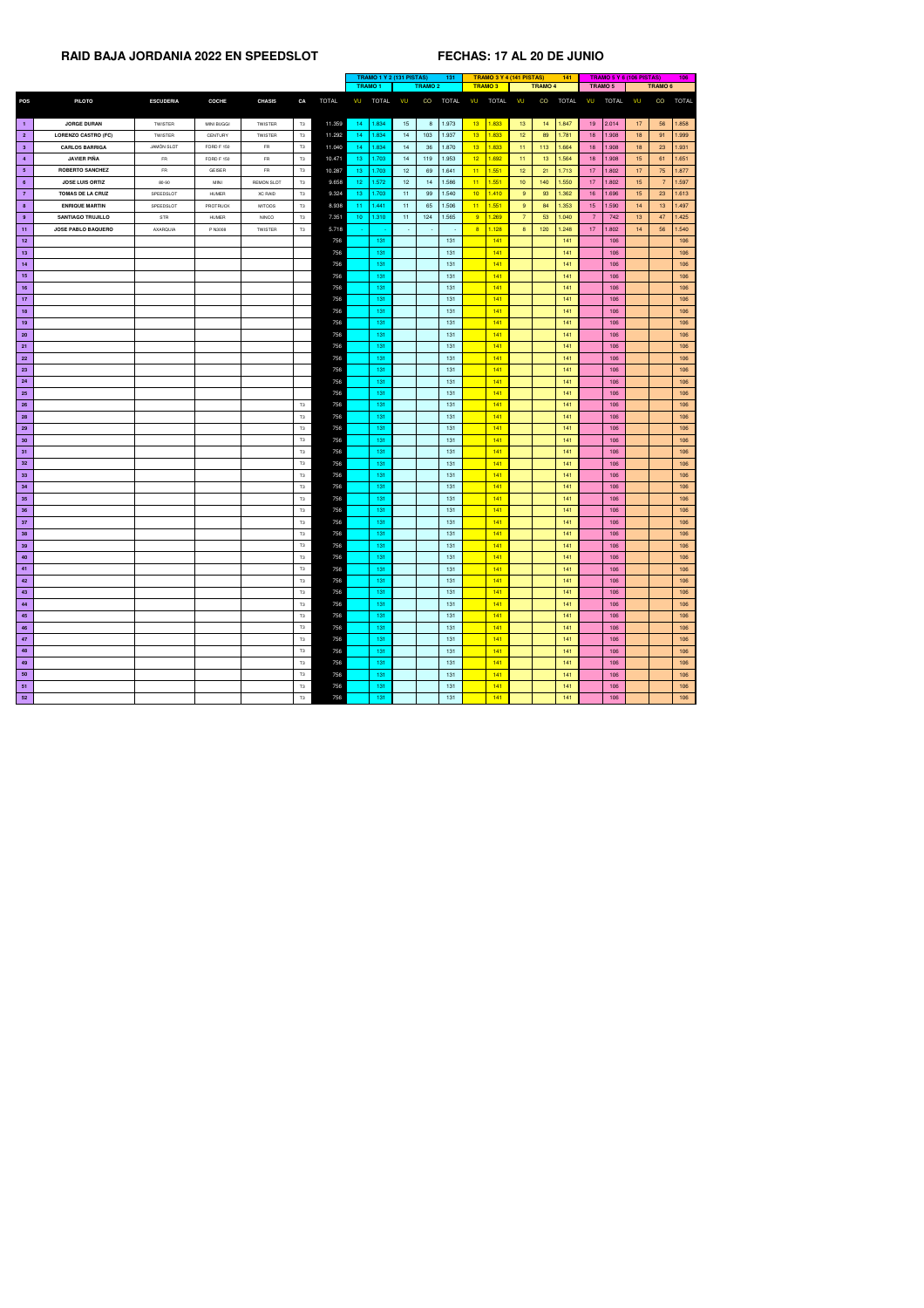|                 |                            |                   |                   |                   |           |              | <b>TRAMO 1 Y 2 (131 PISTAS)</b><br>131 |              |                 |                | <b>TRAMO 3 Y 4 (141 PISTAS)</b> |                 |               | 141             |                 | <b>TRAMO 5 Y 6 (106 PISTAS)</b> |                 |              | 106             |                    |              |
|-----------------|----------------------------|-------------------|-------------------|-------------------|-----------|--------------|----------------------------------------|--------------|-----------------|----------------|---------------------------------|-----------------|---------------|-----------------|-----------------|---------------------------------|-----------------|--------------|-----------------|--------------------|--------------|
|                 |                            |                   |                   |                   |           |              | <b>TRAMO1</b>                          |              |                 | <b>TRAMO 2</b> |                                 |                 | <b>TRAMO3</b> |                 | <b>TRAMO 4</b>  |                                 | <b>TRAMO 5</b>  |              |                 | TRAMO <sub>6</sub> |              |
| <b>POS</b>      | <b>PILOTO</b>              | <b>ESCUDERIA</b>  | <b>COCHE</b>      | <b>CHASIS</b>     | CA        | <b>TOTAL</b> | VU                                     | <b>TOTAL</b> | VU              | CO             | <b>TOTAL</b>                    | VU              | <b>TOTAL</b>  | VU              | CO              | <b>TOTAL</b>                    | VU              | <b>TOTAL</b> | VU              | CO                 | <b>TOTAL</b> |
|                 |                            |                   |                   |                   |           |              |                                        |              |                 |                |                                 |                 |               |                 |                 |                                 |                 |              |                 |                    |              |
| $\blacksquare$  | <b>JORGE DURAN</b>         | <b>TWISTER</b>    | <b>MINI BUGGI</b> | <b>TWISTER</b>    | T3        | 11.359       | 14                                     | 1.834        | 15              | 8              | 1.973                           | 13 <sup>2</sup> | 1.833         | 13 <sup>°</sup> | 14              | 1.847                           |                 | $19$   2.014 | 17              | 56                 | 1.858        |
| $\overline{2}$  | <b>LORENZO CASTRO (FC)</b> | <b>TWISTER</b>    | CENTURY           | TWISTER           | T3        | 11.292       | 14                                     | 1.834        | 14              | 103            | 1.937                           | 13 <sup>°</sup> | 1.833         | 12 <sub>2</sub> | 89              | 1.781                           | 18              | 1.908        | 18 <sup>°</sup> | 91                 | 1.999        |
| 3 <sup>°</sup>  | <b>CARLOS BARRIGA</b>      | <b>JAMON SLOT</b> | <b>FORD F 150</b> | <b>FR</b>         | <b>T3</b> | 11.040       | 14                                     | 1.834        | 14              | 36             | 1.870                           | 13 <sup>°</sup> | 1.833         | 11              | 113             | 1.664                           | 18 <sup>°</sup> | 1.908        | 18 <sup>°</sup> | 23                 | 1.931        |
| $\overline{4}$  | <b>JAVIER PIÑA</b>         | <b>FR</b>         | <b>FORD F 150</b> | FR                | T3        | 10.471       | 13                                     | 1.703        | 14              | 119            | 1.953                           | 12 <sub>2</sub> | 1.692         | 11              | 13 <sup>7</sup> | 1.564                           | 18              | 1.908        | 15 <sub>1</sub> | 61                 | 1.651        |
| 5 <sub>1</sub>  | <b>ROBERTO SANCHEZ</b>     | <b>FR</b>         | <b>GEISER</b>     | FR                | T3        | 10.287       | 13 <sub>1</sub>                        | 1.703        | 12 <sup>2</sup> | 69             | 1.641                           | 11              | 1.551         | 12 <sub>2</sub> | 21              | 1.713                           | 17 <sup>2</sup> | 1.802        | 17              | 75                 | 1.877        |
| $6^{\circ}$     | <b>JOSE LUIS ORTIZ</b>     | 80-90             | <b>MINI</b>       | <b>REMON SLOT</b> | T3        | 9.658        | 12 <sub>1</sub>                        | 1.572        | 12 <sup>2</sup> | 14             | 1.586                           | 11              | 1.551         | 10 <sub>1</sub> | 140             | 1.550                           | 17 <sup>2</sup> | 1.802        | 15 <sub>1</sub> | $\overline{7}$     | 1.597        |
| $\overline{7}$  | <b>TOMAS DE LA CRUZ</b>    | SPEEDSLOT         | <b>HUMER</b>      | <b>XC RAID</b>    | T3        | 9.324        | 13                                     | 1.703        | 11              | 99             | 1.540                           | 10 <sup>2</sup> | 1.410         | 9               | 93              | 1.362                           | 16              | 1.696        | 15 <sup>°</sup> | 23                 | 1.613        |
| 8 <sup>2</sup>  | <b>ENRIQUE MARTIN</b>      | SPEEDSLOT         | <b>PROTRUCK</b>   | <b>MITOOS</b>     | <b>T3</b> | 8.938        | 11                                     | 1.441        | 11              | 65             | 1.506                           | 11              | 1.551         | 9               | 84              | 1.353                           | 15 <sub>1</sub> | 1.590        | 14              | 13 <sup>°</sup>    | 1.497        |
| $9^{\circ}$     | <b>SANTIAGO TRUJILLO</b>   | STR               | <b>HUMER</b>      | <b>NINCO</b>      | T3        | 7.351        | 10 <sub>1</sub>                        | 1.310        | 11              | 124            | 1.565                           | 9               | 1.269         | $\overline{7}$  | 53              | 1.040                           | $\overline{7}$  | 742          | 13 <sup>7</sup> | 47                 | 1.425        |
| 11              | <b>JOSE PABLO BAQUERO</b>  | AXARQUIA          | P N3008           | <b>TWISTER</b>    | T3        | 5.718        |                                        |              | $\sim$          | $\sim$ .       | $\sim$                          | 8               | 1.128         | 8 <sup>°</sup>  | 120             | 1.248                           | 17              | 1.802        | 14              | 56                 | 1.540        |
| 12              |                            |                   |                   |                   |           | 756          |                                        | 131          |                 |                | 131                             |                 | 141           |                 |                 | $141$                           |                 | 106          |                 |                    | 106          |
| 13              |                            |                   |                   |                   |           | 756          |                                        | 131          |                 |                | 131                             |                 | 141           |                 |                 | $141$                           |                 | 106          |                 |                    | 106          |
| 14              |                            |                   |                   |                   |           | 756          |                                        | 131          |                 |                | 131                             |                 | 141           |                 |                 | $141$                           |                 | 106          |                 |                    | 106          |
| 15              |                            |                   |                   |                   |           | 756          |                                        | 131          |                 |                | 131                             |                 | 141           |                 |                 | 141                             |                 | 106          |                 |                    | 106          |
| 16              |                            |                   |                   |                   |           | 756          |                                        | 131          |                 |                | 131                             |                 | 141           |                 |                 | $141$                           |                 | 106          |                 |                    | 106          |
| 17              |                            |                   |                   |                   |           | 756          |                                        | 131          |                 |                | 131                             |                 | 141           |                 |                 | 141                             |                 | 106          |                 |                    | 106          |
| 18              |                            |                   |                   |                   |           | 756          |                                        | 131          |                 |                | 131                             |                 | 141           |                 |                 | $141$                           |                 | 106          |                 |                    | 106          |
| 19              |                            |                   |                   |                   |           | 756          |                                        | 131          |                 |                | 131                             |                 | 141           |                 |                 | $141$                           |                 | 106          |                 |                    | 106          |
| <b>20</b>       |                            |                   |                   |                   |           | 756          |                                        | 131          |                 |                | 131                             |                 | 141           |                 |                 | 141                             |                 | 106          |                 |                    | 106          |
| 21              |                            |                   |                   |                   |           | 756          |                                        | 131          |                 |                | 131                             |                 | 141           |                 |                 | 141                             |                 | 106          |                 |                    | 106          |
| 22              |                            |                   |                   |                   |           | 756          |                                        | 131          |                 |                | 131                             |                 | 141           |                 |                 | $141$                           |                 | 106          |                 |                    | 106          |
| 23              |                            |                   |                   |                   |           | 756          |                                        | 131          |                 |                | 131                             |                 | 141           |                 |                 | 141                             |                 | 106          |                 |                    | 106          |
| 24              |                            |                   |                   |                   |           | 756          |                                        | 131          |                 |                | 131                             |                 | 141           |                 |                 | $141$                           |                 | 106          |                 |                    | 106          |
| <b>25</b>       |                            |                   |                   |                   |           | 756          |                                        | 131          |                 |                | 131                             |                 | 141           |                 |                 | 141                             |                 | 106          |                 |                    | 106          |
| 26              |                            |                   |                   |                   | <b>T3</b> | 756          |                                        | 131          |                 |                | 131                             |                 | 141           |                 |                 | 141                             |                 | 106          |                 |                    | 106          |
| <b>28</b>       |                            |                   |                   |                   | T3        | 756          |                                        | 131          |                 |                | 131                             |                 | 141           |                 |                 | $141$                           |                 | 106          |                 |                    | 106          |
| 29              |                            |                   |                   |                   | T3        | 756          |                                        | 131          |                 |                | 131                             |                 | 141           |                 |                 | 141                             |                 | 106          |                 |                    | 106          |
| 30 <sub>o</sub> |                            |                   |                   |                   | T3        | 756          |                                        | 131          |                 |                | 131                             |                 | 141           |                 |                 | 141                             |                 | 106          |                 |                    | 106          |
| 31              |                            |                   |                   |                   | T3        | 756          |                                        | 131          |                 |                | 131                             |                 | 141           |                 |                 | $141$                           |                 | 106          |                 |                    | 106          |
| 32              |                            |                   |                   |                   | <b>T3</b> | 756          |                                        | 131          |                 |                | 131                             |                 | 141           |                 |                 | 141                             |                 | 106          |                 |                    | 106          |
| 33              |                            |                   |                   |                   | T3        | 756          |                                        | 131          |                 |                | 131                             |                 | 141           |                 |                 | 141                             |                 | 106          |                 |                    | 106          |
| 34              |                            |                   |                   |                   | T3        | 756          |                                        | 131          |                 |                | 131                             |                 | 141           |                 |                 | $141$                           |                 | 106          |                 |                    | 106          |
| 35              |                            |                   |                   |                   | T3        | 756          |                                        | 131          |                 |                | 131                             |                 | 141           |                 |                 | $141$                           |                 | 106          |                 |                    | 106          |
| 36              |                            |                   |                   |                   | T3        | 756          |                                        | 131          |                 |                | 131                             |                 | 141           |                 |                 | $141$                           |                 | 106          |                 |                    | 106          |
| 37              |                            |                   |                   |                   | T3        | 756          |                                        | 131          |                 |                | 131                             |                 | 141           |                 |                 | 141                             |                 | 106          |                 |                    | 106          |
| 38              |                            |                   |                   |                   | T3        | 756          |                                        | 131          |                 |                | 131                             |                 | 141           |                 |                 | 141                             |                 | 106          |                 |                    | 106          |
| 39              |                            |                   |                   |                   | T3        | 756          |                                        | 131          |                 |                | 131                             |                 | 141           |                 |                 | $141$                           |                 | 106          |                 |                    | 106          |
| 40              |                            |                   |                   |                   | T3        | 756          |                                        | 131          |                 |                | 131                             |                 | 141           |                 |                 | 141                             |                 | 106          |                 |                    | 106          |
| 41              |                            |                   |                   |                   | T3        | 756          |                                        | 131          |                 |                | 131                             |                 | 141           |                 |                 | 141                             |                 | 106          |                 |                    | 106          |
| 42              |                            |                   |                   |                   | T3        | 756          |                                        | 131          |                 |                | 131                             |                 | 141           |                 |                 | 141                             |                 | 106          |                 |                    | 106          |
|                 |                            |                   |                   |                   | T3        | 756          |                                        | 131          |                 |                | 131                             |                 | 141           |                 |                 | 141                             |                 | 106          |                 |                    | 106          |
| 43              |                            |                   |                   |                   |           |              |                                        |              |                 |                |                                 |                 |               |                 |                 |                                 |                 |              |                 |                    |              |
| 44              |                            |                   |                   |                   | T3        | 756          |                                        | 131          |                 |                | 131                             |                 | 141           |                 |                 | 141                             |                 | 106          |                 |                    | 106          |
| 45              |                            |                   |                   |                   | T3        | 756          |                                        | 131          |                 |                | 131                             |                 | 141           |                 |                 | 141                             |                 | 106          |                 |                    | 106          |
| 46              |                            |                   |                   |                   | T3        | 756          |                                        | 131          |                 |                | 131                             |                 | 141           |                 |                 | 141                             |                 | 106          |                 |                    | 106          |
| 47              |                            |                   |                   |                   | T3        | 756          |                                        | 131          |                 |                | 131                             |                 | 141           |                 |                 | 141                             |                 | 106          |                 |                    | 106          |
| 48              |                            |                   |                   |                   | T3        | 756          |                                        | 131          |                 |                | 131                             |                 | 141           |                 |                 | 141                             |                 | 106          |                 |                    | 106          |
| 49              |                            |                   |                   |                   | <b>T3</b> | 756          |                                        | 131          |                 |                | 131                             |                 | 141           |                 |                 | 141                             |                 | 106          |                 |                    | 106          |
| 50              |                            |                   |                   |                   | T3        | 756          |                                        | 131          |                 |                | 131                             |                 | 141           |                 |                 | 141                             |                 | 106          |                 |                    | 106          |
| 51              |                            |                   |                   |                   | T3        | 756          |                                        | 131          |                 |                | 131                             |                 | 141           |                 |                 | 141                             |                 | 106          |                 |                    | 106          |
| 52              |                            |                   |                   |                   | T3        | 756          |                                        | 131          |                 |                | 131                             |                 | 141           |                 |                 | 141                             |                 | 106          |                 |                    | 106          |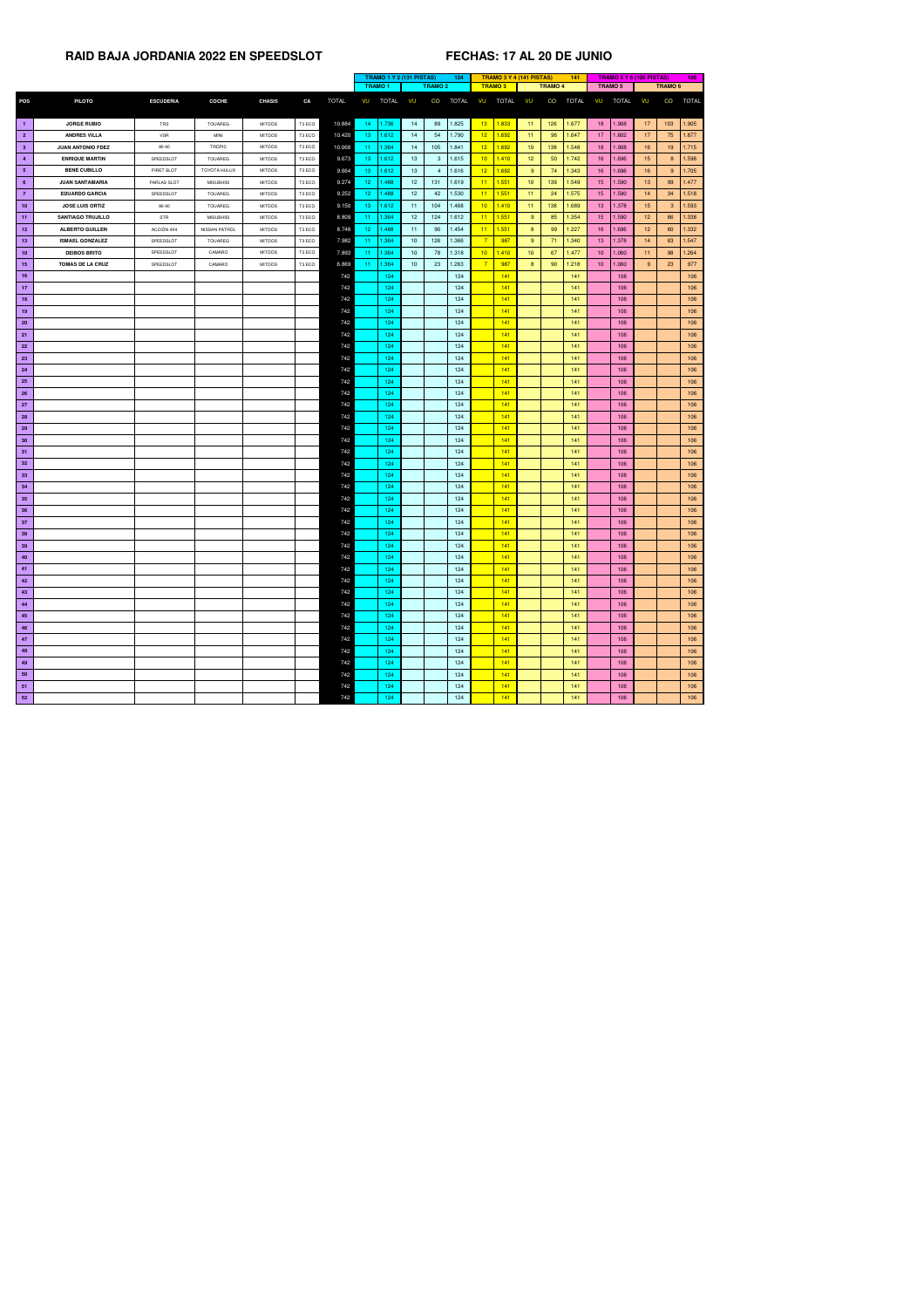|                 |                          |                  |                  |               |        |              |                 | <b>TRAMO 1 Y 2 (131 PISTAS)</b> |                 |                | 124      |                 | <b>TRAMO 3 Y 4 (141 PISTAS)</b> |                 |                | 141          |                 |         | <b>TRAMO 5 Y 6 (106 PISTAS)</b> |                 | 106          |
|-----------------|--------------------------|------------------|------------------|---------------|--------|--------------|-----------------|---------------------------------|-----------------|----------------|----------|-----------------|---------------------------------|-----------------|----------------|--------------|-----------------|---------|---------------------------------|-----------------|--------------|
|                 |                          |                  |                  |               |        |              | <b>TRAMO1</b>   |                                 |                 | <b>TRAMO 2</b> |          |                 | <b>TRAMO3</b>                   |                 | <b>TRAMO 4</b> |              |                 | TRAMO 5 |                                 | <b>TRAMO 6</b>  |              |
| <b>POS</b>      | <b>PILOTO</b>            | <b>ESCUDERIA</b> | <b>COCHE</b>     | <b>CHASIS</b> | CA     | <b>TOTAL</b> | VU              | TOTAL                           | <b>VU</b>       | CO             | TOTAL VU |                 | <b>TOTAL</b>                    | <b>VU</b>       | CO             | <b>TOTAL</b> | VU              | TOTAL   | VU                              | CO              | <b>TOTAL</b> |
| $\blacksquare$  | <b>JORGE RUBIO</b>       | TRS              | <b>TOUAREG</b>   | <b>MITOOS</b> | T3 ECO | 10.884       | 14              | 1.736                           | 14              | 89             | 1.825    | 13 <sup>7</sup> | 1.833                           | 11 <sub>1</sub> | 126            | 1.677        | 18 <sup>°</sup> | 1.908   | 17                              | 103             | 1.905        |
| $\overline{2}$  | <b>ANDRES VILLA</b>      | <b>VSR</b>       | <b>MINI</b>      | <b>MITOOS</b> | T3 ECO | 10.420       | 13 <sub>1</sub> | 1.612                           | 14              | 54             | 1.790    | 12 <sub>2</sub> | 1.692                           | 11 <sub>1</sub> | 96             | 1.647        | 17 <sup>2</sup> | 1.802   | 17                              | 75              | 1.877        |
| 3 <sup>2</sup>  | <b>JUAN ANTONIO FDEZ</b> | 80-90            | <b>TROPIC</b>    | <b>MITOOS</b> | T3 ECO | 10.068       | 11 <sub>1</sub> | 1.364                           | 14              | 105            | 1.841    | 12 <sub>2</sub> | 1.692                           | 10 <sub>1</sub> | 138            | 1.548        | 18 <sup>°</sup> | 1.908   | 16 <sup>°</sup>                 | 19 <sup>°</sup> | 1.715        |
| $\overline{4}$  | <b>ENRIQUE MARTIN</b>    | SPEEDSLOT        | <b>TOUAREG</b>   | <b>MITOOS</b> | T3 ECO | 9.673        | 13 <sup>°</sup> | 1.612                           | 13 <sup>°</sup> | 3              | 1.615    | 10 <sup>°</sup> | 1.410                           | 12 <sup>°</sup> | 50             | 1.742        | 16 <sup>°</sup> | 1.696   | 15                              | 8               | 1.598        |
| 5 <sub>5</sub>  | <b>BENE CUBILLO</b>      | PIRET SLOT       | TOYOTA HULUX     | <b>MITOOS</b> | T3 ECO | 9.664        | 13 <sup>°</sup> | 1.612                           | 13 <sup>7</sup> |                | 1.616    | 12 <sub>2</sub> | 1.692                           | $9^{\circ}$     | 74             | 1.343        | 16 <sup>°</sup> | 1.696   | 16                              | $9^{\circ}$     | 1.705        |
| $6^{\circ}$     | <b>JUAN SANTAMARIA</b>   | PARLAS SLOT      | <b>MISUBHISI</b> | <b>MITOOS</b> | T3 ECO | 9.274        | 12 <sub>1</sub> | 1.488                           | 12 <sub>2</sub> | 131            | 1.619    | $-11$           | 1.551                           | 10 <sup>°</sup> | 139            | 1.549        | 15 <sub>1</sub> | 1.590   | 13 <sup>°</sup>                 | 99              | 1.477        |
| $\overline{7}$  | <b>EDUARDO GARCIA</b>    | SPEEDSLOT        | <b>TOUAREG</b>   | <b>MITOOS</b> | T3 ECO | 9.252        | 12 <sub>1</sub> | 1.488                           | 12 <sup>7</sup> | 42             | 1.530    | 11              | 1.551                           | 11 <sub>1</sub> | 24             | 1.575        | 15 <sub>1</sub> | 1.590   | 14                              | 34              | 1.518        |
| 10 <sub>1</sub> | <b>JOSE LUIS ORTIZ</b>   | 80-90            | <b>TOUAREG</b>   | <b>MITOOS</b> | T3 ECO | 9.150        | 13 <sup>°</sup> | 1.612                           | 11              | 104            | 1.468    | 10 <sup>°</sup> | 1.410                           | 11 <sub>1</sub> | 138            | 1.689        | 13 <sup>°</sup> | 1.378   | 15 <sub>15</sub>                | 3 <sup>°</sup>  | 1.593        |
| 11              | <b>SANTIAGO TRUJILLO</b> | <b>STR</b>       | <b>MISUBHISI</b> | <b>MITOOS</b> | T3 ECO | 8.809        | 11 <sub>1</sub> | 1.364                           | 12 <sup>2</sup> | 124            | 1.612    | 11              | 1.551                           | $9^{\circ}$     | 85             | 1.354        | 15 <sub>1</sub> | 1.590   | 12 <sub>2</sub>                 | 66              | 1.338        |
| 12              | <b>ALBERTO GUILLEN</b>   | ACCIÒN 4X4       | NISSAN PATROL    | <b>MITOOS</b> | T3 ECO | 8.748        | 12 <sub>1</sub> | .488                            | 11              | 90             | 1.454    | 11              | 1.551                           | 8 <sup>°</sup>  | 99             | 1.227        | 16 <sup>°</sup> | 1.696   | 12 <sub>2</sub>                 | 60              | 1.332        |
| 13              | <b>ISMAEL GONZALEZ</b>   | SPEEDSLOT        | TOUAREG          | <b>MITOOS</b> | T3 ECO | 7.982        | 11.             | 1.364                           | 10 <sup>1</sup> | 126            | 1.366    |                 | 987                             | $9^{\circ}$     | 71             | 1.340        | 13 <sup>°</sup> | 1.378   | 14                              | 63              | 1.547        |
| 10              | <b>DEIBOS BRITO</b>      | SPEEDSLOT        | CAMARO           | <b>MITOOS</b> | T3 ECO | 7.893        | 11 <sub>1</sub> | 1.364                           | 10 <sup>1</sup> | 78             | 1.318    | 10 <sub>1</sub> | 1.410                           | 10 <sup>°</sup> | 67             | 1.477        | 10 <sup>1</sup> | 1.060   | 11 <sub>1</sub>                 | 98              | 1.264        |
| 15              | <b>TOMAS DE LA CRUZ</b>  | SPEEDSLOT        | CAMARO           | <b>MITOOS</b> | T3 ECO | 6.869        | 11 <sub>1</sub> | 1.364                           | 10 <sup>1</sup> | 23             | 1.263    | $\overline{7}$  | 987                             | 8 <sup>°</sup>  | 90             | 1.218        | 10 <sup>1</sup> | 1.060   | 9                               | 23              | 977          |
| 16              |                          |                  |                  |               |        | 742          |                 | 124                             |                 |                | 124      |                 | 141                             |                 |                | 141          |                 | 106     |                                 |                 | 106          |
| 17 <sub>2</sub> |                          |                  |                  |               |        | 742          |                 | 124                             |                 |                | 124      |                 | 141                             |                 |                | 141          |                 | 106     |                                 |                 | 106          |
| 18              |                          |                  |                  |               |        | 742          |                 | 124                             |                 |                | 124      |                 | 141                             |                 |                | 141          |                 | 106     |                                 |                 | 106          |
| 19              |                          |                  |                  |               |        | 742          |                 | 124                             |                 |                | 124      |                 | 141                             |                 |                | 141          |                 | 106     |                                 |                 | 106          |
| 20              |                          |                  |                  |               |        | 742          |                 | 124                             |                 |                | 124      |                 | 141                             |                 |                | 141          |                 | 106     |                                 |                 | 106          |
| 21              |                          |                  |                  |               |        | 742          |                 | 124                             |                 |                | 124      |                 | 141                             |                 |                | 141          |                 | 106     |                                 |                 | 106          |
| <b>22</b>       |                          |                  |                  |               |        | 742          |                 | 124                             |                 |                | 124      |                 | 141                             |                 |                | 141          |                 | 106     |                                 |                 | 106          |
| 23              |                          |                  |                  |               |        | 742          |                 | 124                             |                 |                | 124      |                 | 141                             |                 |                | 141          |                 | 106     |                                 |                 | 106          |
| 24              |                          |                  |                  |               |        | 742          |                 | 124                             |                 |                | 124      |                 | 141                             |                 |                | 141          |                 | 106     |                                 |                 | 106          |
| 25              |                          |                  |                  |               |        | 742          |                 | 124                             |                 |                | 124      |                 | 141                             |                 |                | 141          |                 | 106     |                                 |                 | 106          |
| 26              |                          |                  |                  |               |        | 742          |                 | 124                             |                 |                | 124      |                 | 141                             |                 |                | 141          |                 | 106     |                                 |                 | 106          |
|                 |                          |                  |                  |               |        |              |                 |                                 |                 |                | 124      |                 | 141                             |                 |                | 141          |                 |         |                                 |                 |              |
| 27              |                          |                  |                  |               |        | 742          |                 | 124                             |                 |                |          |                 |                                 |                 |                |              |                 | 106     |                                 |                 | 106          |
| <b>28</b>       |                          |                  |                  |               |        | 742          |                 | 124                             |                 |                | 124      |                 | 141                             |                 |                | 141          |                 | 106     |                                 |                 | 106          |
| 29              |                          |                  |                  |               |        | 742          |                 | 124                             |                 |                | 124      |                 | 141                             |                 |                | 141          |                 | 106     |                                 |                 | 106          |
| 30 <sub>o</sub> |                          |                  |                  |               |        | 742          |                 | 124                             |                 |                | 124      |                 | 141                             |                 |                | 141          |                 | 106     |                                 |                 | 106          |
| 31              |                          |                  |                  |               |        | 742          |                 | 124                             |                 |                | 124      |                 | 141                             |                 |                | 141          |                 | 106     |                                 |                 | 106          |
| 32 <sub>2</sub> |                          |                  |                  |               |        | 742          |                 | 124                             |                 |                | 124      |                 | 141                             |                 |                | 141          |                 | 106     |                                 |                 | 106          |
| 33 <sub>o</sub> |                          |                  |                  |               |        | 742          |                 | 124                             |                 |                | 124      |                 | 141                             |                 |                | 141          |                 | 106     |                                 |                 | 106          |
| 34              |                          |                  |                  |               |        | 742          |                 | 124                             |                 |                | 124      |                 | 141                             |                 |                | 141          |                 | 106     |                                 |                 | 106          |
| 35              |                          |                  |                  |               |        | 742          |                 | 124                             |                 |                | 124      |                 | 141                             |                 |                | 141          |                 | 106     |                                 |                 | 106          |
| 36              |                          |                  |                  |               |        | 742          |                 | 124                             |                 |                | 124      |                 | 141                             |                 |                | 141          |                 | 106     |                                 |                 | 106          |
| 37              |                          |                  |                  |               |        | 742          |                 | 124                             |                 |                | 124      |                 | 141                             |                 |                | 141          |                 | 106     |                                 |                 | 106          |
| 38              |                          |                  |                  |               |        | 742          |                 | 124                             |                 |                | 124      |                 | 141                             |                 |                | 141          |                 | 106     |                                 |                 | 106          |
| 39              |                          |                  |                  |               |        | 742          |                 | 124                             |                 |                | 124      |                 | 141                             |                 |                | 141          |                 | 106     |                                 |                 | 106          |
| 40              |                          |                  |                  |               |        | 742          |                 | 124                             |                 |                | 124      |                 | 141                             |                 |                | 141          |                 | 106     |                                 |                 | 106          |
| 41              |                          |                  |                  |               |        | 742          |                 | 124                             |                 |                | 124      |                 | 141                             |                 |                | 141          |                 | 106     |                                 |                 | 106          |
| 42              |                          |                  |                  |               |        | 742          |                 | 124                             |                 |                | 124      |                 | 141                             |                 |                | 141          |                 | 106     |                                 |                 | 106          |
| 43              |                          |                  |                  |               |        | 742          |                 | 124                             |                 |                | 124      |                 | 141                             |                 |                | 141          |                 | 106     |                                 |                 | 106          |
| 44              |                          |                  |                  |               |        | 742          |                 | 124                             |                 |                | 124      |                 | 141                             |                 |                | 141          |                 | 106     |                                 |                 | 106          |
| 45              |                          |                  |                  |               |        | 742          |                 | 124                             |                 |                | 124      |                 | 141                             |                 |                | 141          |                 | 106     |                                 |                 | 106          |
| 46              |                          |                  |                  |               |        | 742          |                 | 124                             |                 |                | 124      |                 | 141                             |                 |                | 141          |                 | 106     |                                 |                 | 106          |
| 47              |                          |                  |                  |               |        | 742          |                 | 124                             |                 |                | 124      |                 | 141                             |                 |                | 141          |                 | 106     |                                 |                 | 106          |
| 48              |                          |                  |                  |               |        | 742          |                 | 124                             |                 |                | 124      |                 | 141                             |                 |                | 141          |                 | 106     |                                 |                 | 106          |
| 49              |                          |                  |                  |               |        | 742          |                 | 124                             |                 |                | 124      |                 | 141                             |                 |                | 141          |                 | 106     |                                 |                 | 106          |
| 50              |                          |                  |                  |               |        | 742          |                 | 124                             |                 |                | 124      |                 | 141                             |                 |                | 141          |                 | 106     |                                 |                 | 106          |
| 51              |                          |                  |                  |               |        | 742          |                 | 124                             |                 |                | 124      |                 | 141                             |                 |                | 141          |                 | 106     |                                 |                 | 106          |
| 52              |                          |                  |                  |               |        | 742          |                 | 124                             |                 |                | 124      |                 | 141                             |                 |                | 141          |                 | 106     |                                 |                 | 106          |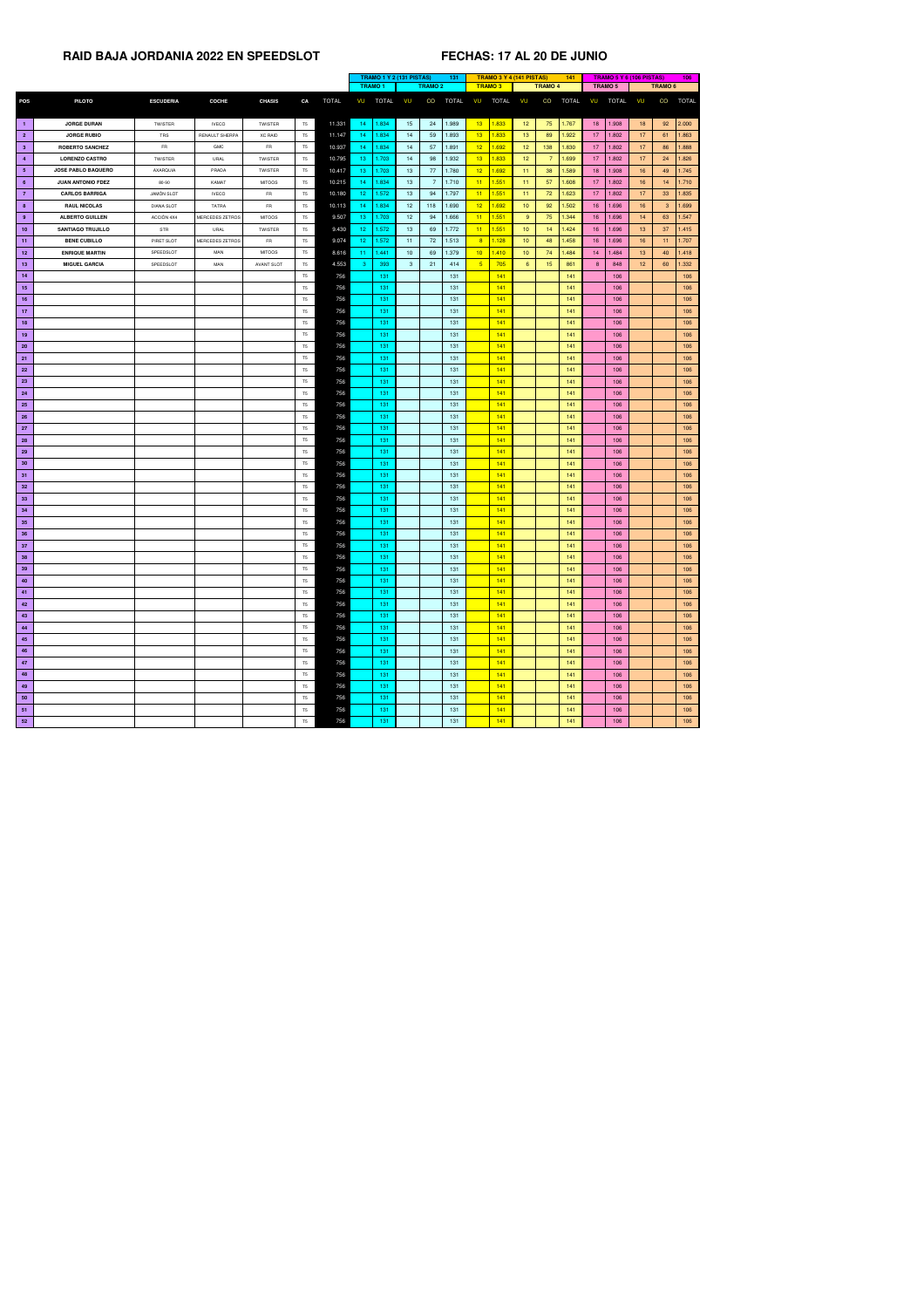|                 |                           |                   |                        |                   |                |              | TRAMO 1 Y 2 (131 PISTAS)<br>131 |              |                 |                |              |                 |              | <b>TRAMO 3 Y 4 (141 PISTAS)</b> |                 | 141          |                    | TRAMO 5 Y 6 (106 PISTAS) |                 |              | 106          |
|-----------------|---------------------------|-------------------|------------------------|-------------------|----------------|--------------|---------------------------------|--------------|-----------------|----------------|--------------|-----------------|--------------|---------------------------------|-----------------|--------------|--------------------|--------------------------|-----------------|--------------|--------------|
|                 |                           |                   |                        |                   |                |              | <b>TRAMO 2</b><br><b>TRAMO1</b> |              | <b>TRAMO3</b>   |                |              | <b>TRAMO 4</b>  |              |                                 | <b>TRAMO 5</b>  |              | TRAMO <sub>6</sub> |                          |                 |              |              |
| <b>POS</b>      | <b>PILOTO</b>             | <b>ESCUDERIA</b>  | <b>COCHE</b>           | <b>CHASIS</b>     | CA             | <b>TOTAL</b> | VU                              | <b>TOTAL</b> | VU              | CO             | <b>TOTAL</b> | VU              | <b>TOTAL</b> | VU                              | CO              | <b>TOTAL</b> | VU                 | <b>TOTAL</b>             | VU              | CO           | <b>TOTAL</b> |
|                 |                           |                   |                        |                   |                |              |                                 |              |                 |                |              |                 |              |                                 |                 |              |                    |                          |                 |              |              |
| $\blacksquare$  | <b>JORGE DURAN</b>        | TWISTER           | <b>IVECO</b>           | <b>TWISTER</b>    | <b>T5</b>      | 11.331       | $ 14\rangle$                    | 1.834        | 15              | 24             | 1.989        | 13 <sup>°</sup> | 1.833        | 12 <sub>2</sub>                 | 75              | 1.767        | 18 <sup>7</sup>    | 1.908                    | 18              | 92           | 2.000        |
| $\overline{2}$  | <b>JORGE RUBIO</b>        | TRS               | RENAULT SHERPA         | <b>XC RAID</b>    | T <sub>5</sub> | 11.147       | -14                             | 1.834        | 14              | 59             | 1.893        | 13 <sup>7</sup> | 1.833        | 13 <sub>1</sub>                 | 89              | 1.922        | 17 <sup>2</sup>    | 1.802                    | 17              | 61           | 1.863        |
| 3 <sup>2</sup>  | <b>ROBERTO SANCHEZ</b>    | <b>FR</b>         | GMC                    | <b>FR</b>         | T <sub>5</sub> | 10.937       | -14                             | .834         | 14              | 57             | 1.891        | 12 <sub>2</sub> | 1.692        | 12 <sub>2</sub>                 | 138             | 1.830        | 17 <sup>2</sup>    | 1.802                    | 17              | 86           | 1.888        |
| $\overline{4}$  | <b>LORENZO CASTRO</b>     | <b>TWISTER</b>    | URAL                   | TWISTER           | T <sub>5</sub> | 10.795       | 13 <sub>1</sub>                 | 1.703        | 14              | 98             | 1.932        | 13 <sup>°</sup> | 1.833        | 12 <sub>2</sub>                 |                 | 1.699        | 17 <sup>2</sup>    | 1.802                    | 17              | 24           | 1.826        |
| 5 <sub>5</sub>  | <b>JOSE PABLO BAQUERO</b> | <b>AXARQUIA</b>   | PRADA                  | TWISTER           | T5             | 10.417       | 13 <sub>1</sub>                 | 1.703        | 13              | 77             | 1.780        | 12 <sub>2</sub> | 1.692        | 11                              | 38              | 1.589        | 18 <sup>°</sup>    | 1.908                    | 16              | 49           | 1.745        |
| $6^{\circ}$     | <b>JUAN ANTONIO FDEZ</b>  | 80-90             | KAMAT                  | <b>MITOOS</b>     | T <sub>5</sub> | 10.215       | -14                             | 1.834        | 13              | $\overline{7}$ | 1.710        | 11              | 1.551        | 11                              | 57              | 1.608        | 17 <sup>2</sup>    | 1.802                    | 16 <sup>°</sup> | 14           | $1.710$      |
| $\overline{7}$  | <b>CARLOS BARRIGA</b>     | <b>JAMON SLOT</b> | <b>IVECO</b>           | <b>FR</b>         | T <sub>5</sub> | 10.180       | 12                              | 1.572        | 13 <sup>7</sup> | 94             | 1.797        | 11              | 1.551        | 11                              | 72              | 1.623        | 17 <sub>1</sub>    | 1.802                    | 17              | 33           | 1.835        |
| 8 <sup>1</sup>  | <b>RAUL NICOLAS</b>       | <b>DIANA SLOT</b> | <b>TATRA</b>           | <b>FR</b>         | T5             | 10.113       | -14                             | 1.834        | 12              | 118            | 1.690        | 12 <sub>2</sub> | 1.692        | 10 <sub>1</sub>                 | 92              | 1.502        | 16 <sup>°</sup>    | 1.696                    | 16              | $\mathbf{3}$ | 1.699        |
| $9^{\circ}$     | <b>ALBERTO GUILLEN</b>    | ACCIÒN 4X4        | <b>MERCEDES ZETROS</b> | <b>MITOOS</b>     | T5             | 9.507        | 13                              | .703         | 12 <sub>2</sub> | 94             | 1.666        | 11              | 1.551        | 9                               | 75              | 1.344        | 16 <sup>°</sup>    | 1.696                    | 14              | 63           | 1.547        |
| 10              | <b>SANTIAGO TRUJILLO</b>  | STR               | URAL                   | TWISTER           | <b>T5</b>      | 9.430        | 12 <sub>1</sub>                 | 1.572        | 13 <sup>7</sup> | 69             | 1.772        | 11              | 1.551        | 10 <sup>°</sup>                 | 14              | 1.424        | 16                 | 1.696                    | 13              | 37           | 1.415        |
| 11              | <b>BENE CUBILLO</b>       | PIRET SLOT        | MERCEDES ZETROS        | <b>FR</b>         | T <sub>5</sub> | 9.074        | 12 <sub>1</sub>                 | 1.572        | 11              | 72             | 1.513        | 8               | 1.128        | 10 <sub>1</sub>                 | 48              | 1.458        | 16 <sup>1</sup>    | 1.696                    | 16              | 11           | 1.707        |
| 12              | <b>ENRIQUE MARTIN</b>     | SPEEDSLOT         | <b>MAN</b>             | <b>MITOOS</b>     | T <sub>5</sub> | 8.616        | 11 <sub>1</sub>                 | 1.441        | 10 <sub>1</sub> | 69             | 1.379        | 10 <sub>1</sub> | 1.410        | 10 <sub>1</sub>                 | 74              | 1.484        | 14 <sup>1</sup>    | 1.484                    | 13 <sup>°</sup> | 40           | 1.418        |
| 13              | <b>MIGUEL GARCIA</b>      | SPEEDSLOT         | <b>MAN</b>             | <b>AVANT SLOT</b> | T <sub>5</sub> | 4.553        | -3                              | 393          | 3 <sup>1</sup>  | 21             | 414          | 5 <sup>5</sup>  | 705          | $6^{\circ}$                     | 15 <sub>1</sub> | 861          | 8                  | 848                      | 12 <sub>2</sub> | 60           | 1.332        |
| 14              |                           |                   |                        |                   | T5             | 756          |                                 | 131          |                 |                | 131          |                 | 141          |                                 |                 | 141          |                    | 106                      |                 |              | 106          |
| 15              |                           |                   |                        |                   | T <sub>5</sub> | 756          |                                 | 131          |                 |                | 131          |                 | 141          |                                 |                 | 141          |                    | 106                      |                 |              | 106          |
| 16              |                           |                   |                        |                   | T <sub>5</sub> | 756          |                                 | 131          |                 |                | 131          |                 | 141          |                                 |                 | 141          |                    | 106                      |                 |              | 106          |
| 17              |                           |                   |                        |                   | T <sub>5</sub> | 756          |                                 | 131          |                 |                | 131          |                 | 141          |                                 |                 | 141          |                    | 106                      |                 |              | 106          |
| 18              |                           |                   |                        |                   | T <sub>5</sub> | 756          |                                 | $131$        |                 |                | 131          |                 | 141          |                                 |                 | 141          |                    | 106                      |                 |              | 106          |
| 19              |                           |                   |                        |                   | T5             | 756          |                                 | 131          |                 |                | 131          |                 | 141          |                                 |                 | 141          |                    | 106                      |                 |              | 106          |
| 20 <sub>2</sub> |                           |                   |                        |                   | T <sub>5</sub> | 756          |                                 | 131          |                 |                | 131          |                 | 141          |                                 |                 | 141          |                    | 106                      |                 |              | 106          |
| 21              |                           |                   |                        |                   | T <sub>5</sub> | 756          |                                 | 131          |                 |                | 131          |                 | 141          |                                 |                 | 141          |                    | 106                      |                 |              | 106          |
| <b>22</b>       |                           |                   |                        |                   | T <sub>5</sub> | 756          |                                 | 131          |                 |                | 131          |                 | 141          |                                 |                 | 141          |                    | 106                      |                 |              | 106          |
| 23              |                           |                   |                        |                   | T5             | 756          |                                 | 131          |                 |                | 131          |                 | 141          |                                 |                 | 141          |                    | 106                      |                 |              | 106          |
| 24              |                           |                   |                        |                   | T5             | 756          |                                 | 131          |                 |                | 131          |                 | 141          |                                 |                 | 141          |                    | 106                      |                 |              | 106          |
| 25              |                           |                   |                        |                   | T5             | 756          |                                 | 131          |                 |                | 131          |                 | 141          |                                 |                 | 141          |                    | 106                      |                 |              | 106          |
| 26              |                           |                   |                        |                   | T5             | 756          |                                 | 131          |                 |                | 131          |                 | 141          |                                 |                 | 141          |                    | 106                      |                 |              | 106          |
| 27              |                           |                   |                        |                   | T <sub>5</sub> | 756          |                                 | 131          |                 |                | 131          |                 | 141          |                                 |                 | 141          |                    | 106                      |                 |              | 106          |
| 28              |                           |                   |                        |                   | T5             | 756          |                                 | 131          |                 |                | 131          |                 | 141          |                                 |                 | 141          |                    | 106                      |                 |              | 106          |
| 29              |                           |                   |                        |                   | T <sub>5</sub> | 756          |                                 | 131          |                 |                | 131          |                 | 141          |                                 |                 | 141          |                    | 106                      |                 |              | 106          |
| 30              |                           |                   |                        |                   | T <sub>5</sub> | 756          |                                 | 131          |                 |                | 131          |                 | 141          |                                 |                 | 141          |                    | 106                      |                 |              | 106          |
| 31              |                           |                   |                        |                   | T <sub>5</sub> | 756          |                                 | 131          |                 |                | 131          |                 | 141          |                                 |                 | 141          |                    | 106                      |                 |              | 106          |
| 32 <sub>2</sub> |                           |                   |                        |                   | <b>T5</b>      | 756          |                                 | 131          |                 |                | 131          |                 | 141          |                                 |                 | 141          |                    | 106                      |                 |              | 106          |
| 33              |                           |                   |                        |                   | T5             | 756          |                                 | 131          |                 |                | 131          |                 | 141          |                                 |                 | 141          |                    | 106                      |                 |              | 106          |
| 34              |                           |                   |                        |                   | T5             | 756          |                                 | 131          |                 |                | 131          |                 | 141          |                                 |                 | 141          |                    | 106                      |                 |              | 106          |
| 35              |                           |                   |                        |                   | <b>T5</b>      | 756          |                                 | 131          |                 |                | 131          |                 | 141          |                                 |                 | 141          |                    | 106                      |                 |              | 106          |
| 36              |                           |                   |                        |                   | T <sub>5</sub> | 756          |                                 | 131          |                 |                | 131          |                 | 141          |                                 |                 | 141          |                    | 106                      |                 |              | 106          |
| 37              |                           |                   |                        |                   | T5             | 756          |                                 | 131          |                 |                | 131          |                 | 141          |                                 |                 | 141          |                    | 106                      |                 |              | 106          |
| 38              |                           |                   |                        |                   | T <sub>5</sub> | 756          |                                 | 131          |                 |                | 131          |                 | 141          |                                 |                 | 141          |                    | 106                      |                 |              | 106          |
| 39              |                           |                   |                        |                   | T5             | 756          |                                 | 131          |                 |                | 131          |                 | 141          |                                 |                 | 141          |                    | 106                      |                 |              | 106          |
| 40              |                           |                   |                        |                   | T5             | 756          |                                 | 131          |                 |                | 131          |                 | 141          |                                 |                 | 141          |                    | 106                      |                 |              | 106          |
| 41              |                           |                   |                        |                   | <b>T5</b>      | 756          |                                 | 131          |                 |                | 131          |                 | 141          |                                 |                 | 141          |                    | 106                      |                 |              | 106          |
| 42              |                           |                   |                        |                   | <b>T5</b>      | 756          |                                 | 131          |                 |                | 131          |                 | 141          |                                 |                 | 141          |                    | 106                      |                 |              | 106          |
| 43              |                           |                   |                        |                   | T5             | 756          |                                 | 131          |                 |                | 131          |                 | 141          |                                 |                 | 141          |                    | 106                      |                 |              | 106          |
| 44              |                           |                   |                        |                   | T5             | 756          |                                 | 131          |                 |                | 131          |                 | 141          |                                 |                 | 141          |                    | 106                      |                 |              | 106          |
| 45              |                           |                   |                        |                   | <b>T5</b>      | 756          |                                 | 131          |                 |                | 131          |                 | 141          |                                 |                 | 141          |                    | 106                      |                 |              | 106          |
| 46              |                           |                   |                        |                   | <b>T5</b>      | 756          |                                 | 131          |                 |                | 131          |                 | 141          |                                 |                 | 141          |                    | 106                      |                 |              | 106          |
| 47              |                           |                   |                        |                   | T <sub>5</sub> | 756          |                                 | 131          |                 |                | 131          |                 | 141          |                                 |                 | 141          |                    | 106                      |                 |              | 106          |
| 48              |                           |                   |                        |                   | <b>T5</b>      | 756          |                                 | 131          |                 |                | 131          |                 | 141          |                                 |                 | 141          |                    | 106                      |                 |              | 106          |
| 49              |                           |                   |                        |                   | <b>T5</b>      | 756          |                                 | 131          |                 |                | 131          |                 | 141          |                                 |                 | 141          |                    | 106                      |                 |              | 106          |
| 50              |                           |                   |                        |                   | <b>T5</b>      | 756          |                                 | 131          |                 |                | 131          |                 | 141          |                                 |                 | 141          |                    | 106                      |                 |              | 106          |
| 51              |                           |                   |                        |                   | <b>T5</b>      | 756          |                                 | 131          |                 |                | 131          |                 | 141          |                                 |                 | 141          |                    | 106                      |                 |              | 106          |
| 52              |                           |                   |                        |                   | T5             | 756          |                                 | 131          |                 |                | 131          |                 | 141          |                                 |                 | 141          |                    | 106                      |                 |              | 106          |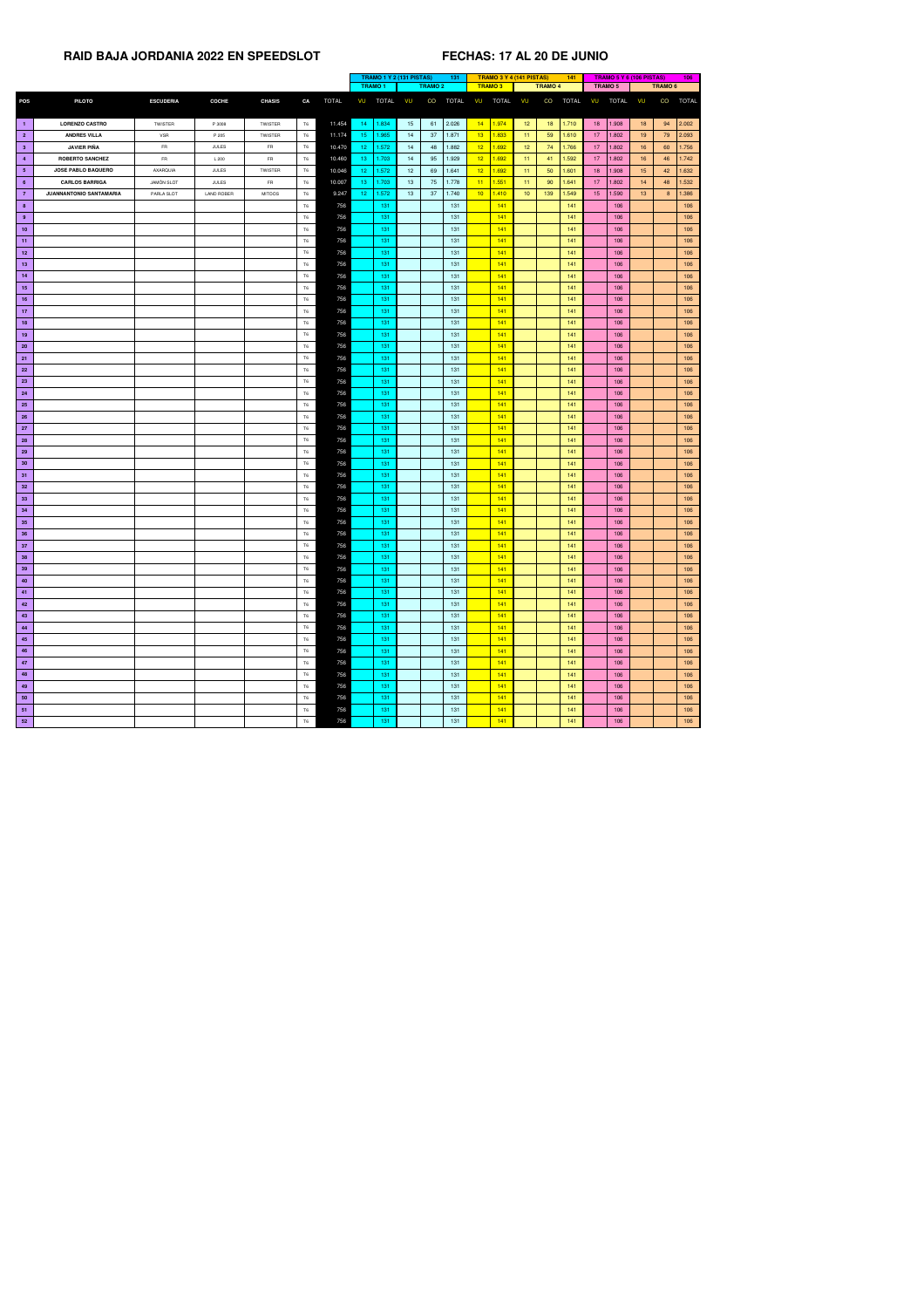|                 |                                |                   |                   |                |                |              | <b>TRAMO 1 Y 2 (131 PISTAS)</b><br>131 |              |                 | <b>TRAMO 3 Y 4 (141 PISTAS)</b> |              |                          | 141             |                | <b>TRAMO 5 Y 6 (106 PISTAS)</b> |                 |                | 106             |                |              |
|-----------------|--------------------------------|-------------------|-------------------|----------------|----------------|--------------|----------------------------------------|--------------|-----------------|---------------------------------|--------------|--------------------------|-----------------|----------------|---------------------------------|-----------------|----------------|-----------------|----------------|--------------|
|                 |                                |                   |                   |                |                |              | <b>TRAMO1</b>                          |              |                 | <b>TRAMO 2</b>                  |              | <b>TRAMO3</b>            |                 | <b>TRAMO 4</b> |                                 |                 | <b>TRAMO 5</b> |                 | <b>TRAMO 6</b> |              |
| <b>POS</b>      | <b>PILOTO</b>                  | <b>ESCUDERIA</b>  | <b>COCHE</b>      | <b>CHASIS</b>  | CA             | <b>TOTAL</b> | VU                                     | <b>TOTAL</b> | VU              | CO                              | <b>TOTAL</b> | <b>TOTAL</b><br>VU       | VU              | CO             | <b>TOTAL</b>                    | VU              | <b>TOTAL</b>   | VU              | CO             | <b>TOTAL</b> |
|                 |                                |                   |                   |                |                |              |                                        |              |                 |                                 |              |                          |                 |                |                                 |                 |                |                 |                |              |
| $\blacksquare$  | <b>LORENZO CASTRO</b>          | TWISTER           | P 3008            | <b>TWISTER</b> | <b>T6</b>      | 11.454       | 14                                     | 1.834        | 15              | 61                              | 2.026        | 1.974<br>14              | 12 <sup>7</sup> | 18             | 1.710                           | 18              | 1.908          | 18              | 94             | 2.002        |
| $\overline{2}$  | <b>ANDRES VILLA</b>            | <b>VSR</b>        | P 205             | TWISTER        | T <sub>6</sub> | 11.174       | 15 <sub>1</sub>                        | 1.965        | 14              | 37                              | 1.871        | 13 <sup>°</sup><br>1.833 | 11 <sub>1</sub> | 59             | 1.610                           | 17 <sup>2</sup> | 1.802          | 19 <sup>°</sup> | 79             | 2.093        |
| 3 <sup>2</sup>  | <b>JAVIER PIÑA</b>             | <b>FR</b>         | <b>JULES</b>      | FR             | T <sub>6</sub> | 10.470       | 12 <sub>1</sub>                        | 1.572        | 14              | 48                              | 1.882        | 12 <sub>2</sub><br>1.692 | 12 <sub>2</sub> | 74             | 1.766                           | 17 <sup>2</sup> | 1.802          | 16              | 60             | 1.756        |
| $\overline{4}$  | <b>ROBERTO SANCHEZ</b>         | <b>FR</b>         | L200              | FR             | T <sub>6</sub> | 10.460       | 13                                     | 1.703        | 14              | 95                              | 1.929        | 12 <sup>2</sup><br>1.692 | 11 <sub>1</sub> | 41             | 1.592                           | 17 <sub>2</sub> | 1.802          | 16              | 46             | 1.742        |
| 5 <sub>5</sub>  | <b>JOSE PABLO BAQUERO</b>      | AXARQUIA          | <b>JULES</b>      | TWISTER        | <b>T6</b>      | 10.046       | 12 <sub>2</sub>                        | 1.572        | 12 <sup>°</sup> | 69                              | 1.641        | 12 <sup>2</sup><br>1.692 | 11              | 50             | 1.601                           | 18              | 1.908          | 15 <sup>7</sup> | 42             | 1.632        |
| $6\overline{6}$ | <b>CARLOS BARRIGA</b>          | <b>JAMON SLOT</b> | <b>JULES</b>      | FR             | T <sub>6</sub> | 10.007       | 13 <sub>1</sub>                        | 1.703        | 13              | 75                              | 1.778        | 1.551<br>11              | 11              | 90             | 1.641                           | 17 <sup>2</sup> | 1.802          | 14              | 48             | 1.532        |
| $\overline{7}$  | <b>JUANNANTONIO SANTAMARIA</b> | PARLA SLOT        | <b>LAND ROBER</b> | <b>MITOOS</b>  | T6             | 9.247        | 12 <sub>1</sub>                        | 1.572        | 13              | 37                              | 1.740        | 10<br>1.410              | 10 <sup>°</sup> | 139            | 1.549                           | 15 <sub>1</sub> | 1.590          | 13 <sup>7</sup> | 8 <sup>8</sup> | 1.386        |
| 8               |                                |                   |                   |                | T <sub>6</sub> | 756          |                                        | 131          |                 |                                 | 131          | 141                      |                 |                | 141                             |                 | 106            |                 |                | 106          |
| 9               |                                |                   |                   |                | T <sub>6</sub> | 756          |                                        | 131          |                 |                                 | 131          | 141                      |                 |                | 141                             |                 | 106            |                 |                | 106          |
| 10              |                                |                   |                   |                | T <sub>6</sub> | 756          |                                        | 131          |                 |                                 | 131          | 141                      |                 |                | 141                             |                 | 106            |                 |                | 106          |
| 11              |                                |                   |                   |                | T <sub>6</sub> | 756          |                                        | 131          |                 |                                 | 131          | 141                      |                 |                | 141                             |                 | 106            |                 |                | 106          |
| 12              |                                |                   |                   |                | T <sub>6</sub> | 756          |                                        | 131          |                 |                                 | 131          | 141                      |                 |                | 141                             |                 | 106            |                 |                | 106          |
| 13              |                                |                   |                   |                | T <sub>6</sub> | 756          |                                        | 131          |                 |                                 | 131          | 141                      |                 |                | 141                             |                 | 106            |                 |                | 106          |
| 14              |                                |                   |                   |                | T <sub>6</sub> | 756          |                                        | 131          |                 |                                 | 131          | 141                      |                 |                | 141                             |                 | 106            |                 |                | 106          |
| 15              |                                |                   |                   |                | T <sub>6</sub> | 756          |                                        | 131          |                 |                                 | 131          | 141                      |                 |                | 141                             |                 | 106            |                 |                | 106          |
| 16              |                                |                   |                   |                | T6             | 756          |                                        | 131          |                 |                                 | 131          | 141                      |                 |                | 141                             |                 | 106            |                 |                | 106          |
| 17              |                                |                   |                   |                | T <sub>6</sub> | 756          |                                        | 131          |                 |                                 | 131          | 141                      |                 |                | 141                             |                 | 106            |                 |                | 106          |
| 18              |                                |                   |                   |                | T6             | 756          |                                        | 131          |                 |                                 | 131          | 141                      |                 |                | 141                             |                 | 106            |                 |                | 106          |
| 19              |                                |                   |                   |                | T <sub>6</sub> | 756          |                                        | 131          |                 |                                 | 131          | 141                      |                 |                | 141                             |                 | 106            |                 |                | 106          |
| <b>20</b>       |                                |                   |                   |                | T <sub>6</sub> | 756          |                                        | 131          |                 |                                 | 131          | 141                      |                 |                | 141                             |                 | 106            |                 |                | 106          |
|                 |                                |                   |                   |                | T <sub>6</sub> | 756          |                                        | 131          |                 |                                 | 131          | 141                      |                 |                | 141                             |                 | 106            |                 |                | 106          |
| 21              |                                |                   |                   |                |                |              |                                        |              |                 |                                 |              |                          |                 |                |                                 |                 |                |                 |                |              |
| 22              |                                |                   |                   |                | T <sub>6</sub> | 756          |                                        | 131          |                 |                                 | 131          | 141                      |                 |                | 141                             |                 | 106            |                 |                | 106          |
| 23              |                                |                   |                   |                | T6             | 756          |                                        | 131          |                 |                                 | 131          | 141                      |                 |                | 141                             |                 | 106            |                 |                | 106          |
| 24              |                                |                   |                   |                | <b>T6</b>      | 756          |                                        | 131          |                 |                                 | 131          | 141                      |                 |                | 141                             |                 | 106            |                 |                | 106          |
| <b>25</b>       |                                |                   |                   |                | T <sub>6</sub> | 756          |                                        | 131          |                 |                                 | 131          | 141                      |                 |                | 141                             |                 | 106            |                 |                | 106          |
| <b>26</b>       |                                |                   |                   |                | T <sub>6</sub> | 756          |                                        | 131          |                 |                                 | 131          | 141                      |                 |                | 141                             |                 | 106            |                 |                | 106          |
| 27              |                                |                   |                   |                | T <sub>6</sub> | 756          |                                        | 131          |                 |                                 | 131          | 141                      |                 |                | 141                             |                 | 106            |                 |                | 106          |
| <b>28</b>       |                                |                   |                   |                | T <sub>6</sub> | 756          |                                        | 131          |                 |                                 | 131          | 141                      |                 |                | 141                             |                 | 106            |                 |                | 106          |
| 29              |                                |                   |                   |                | T6             | 756          |                                        | 131          |                 |                                 | 131          | 141                      |                 |                | 141                             |                 | 106            |                 |                | 106          |
| 30 <sub>o</sub> |                                |                   |                   |                | T <sub>6</sub> | 756          |                                        | 131          |                 |                                 | 131          | 141                      |                 |                | 141                             |                 | 106            |                 |                | 106          |
| 31              |                                |                   |                   |                | T6             | 756          |                                        | 131          |                 |                                 | 131          | 141                      |                 |                | 141                             |                 | 106            |                 |                | 106          |
| 32              |                                |                   |                   |                | T6             | 756          |                                        | 131          |                 |                                 | 131          | 141                      |                 |                | 141                             |                 | 106            |                 |                | 106          |
| 33              |                                |                   |                   |                | <b>T6</b>      | 756          |                                        | 131          |                 |                                 | 131          | 141                      |                 |                | 141                             |                 | 106            |                 |                | 106          |
| 34              |                                |                   |                   |                | T <sub>6</sub> | 756          |                                        | 131          |                 |                                 | 131          | 141                      |                 |                | 141                             |                 | 106            |                 |                | 106          |
| 35              |                                |                   |                   |                | T <sub>6</sub> | 756          |                                        | 131          |                 |                                 | 131          | 141                      |                 |                | 141                             |                 | 106            |                 |                | 106          |
| 36              |                                |                   |                   |                | T <sub>6</sub> | 756          |                                        | 131          |                 |                                 | 131          | 141                      |                 |                | 141                             |                 | 106            |                 |                | 106          |
| 37              |                                |                   |                   |                | T <sub>6</sub> | 756          |                                        | 131          |                 |                                 | 131          | 141                      |                 |                | 141                             |                 | 106            |                 |                | 106          |
| 38              |                                |                   |                   |                | T <sub>6</sub> | 756          |                                        | 131          |                 |                                 | 131          | 141                      |                 |                | 141                             |                 | 106            |                 |                | 106          |
| 39              |                                |                   |                   |                | T6             | 756          |                                        | 131          |                 |                                 | 131          | 141                      |                 |                | 141                             |                 | 106            |                 |                | 106          |
| 40              |                                |                   |                   |                | T6             | 756          |                                        | 131          |                 |                                 | 131          | 141                      |                 |                | 141                             |                 | 106            |                 |                | 106          |
| 41              |                                |                   |                   |                | T6             | 756          |                                        | 131          |                 |                                 | 131          | 141                      |                 |                | 141                             |                 | 106            |                 |                | 106          |
| 42              |                                |                   |                   |                | T <sub>6</sub> | 756          |                                        | 131          |                 |                                 | 131          | 141                      |                 |                | 141                             |                 | 106            |                 |                | 106          |
| 43              |                                |                   |                   |                | T6             | 756          |                                        | 131          |                 |                                 | 131          | 141                      |                 |                | 141                             |                 | 106            |                 |                | 106          |
| 44              |                                |                   |                   |                | T <sub>6</sub> | 756          |                                        | 131          |                 |                                 | 131          | 141                      |                 |                | 141                             |                 | 106            |                 |                | 106          |
| 45              |                                |                   |                   |                | T <sub>6</sub> | 756          |                                        | 131          |                 |                                 | 131          | 141                      |                 |                | 141                             |                 | 106            |                 |                | 106          |
| 46              |                                |                   |                   |                | <b>T6</b>      | 756          |                                        | 131          |                 |                                 | 131          | 141                      |                 |                | 141                             |                 | 106            |                 |                | 106          |
| 47              |                                |                   |                   |                | T <sub>6</sub> | 756          |                                        | 131          |                 |                                 | 131          | 141                      |                 |                | 141                             |                 | 106            |                 |                | 106          |
| 48              |                                |                   |                   |                | T <sub>6</sub> | 756          |                                        | 131          |                 |                                 | 131          | 141                      |                 |                | 141                             |                 | 106            |                 |                | 106          |
| 49              |                                |                   |                   |                | <b>T6</b>      | 756          |                                        | 131          |                 |                                 | 131          | 141                      |                 |                | 141                             |                 | 106            |                 |                | 106          |
| 50              |                                |                   |                   |                | T6             | 756          |                                        | 131          |                 |                                 | 131          | 141                      |                 |                | 141                             |                 | 106            |                 |                | 106          |
| 51              |                                |                   |                   |                | T <sub>6</sub> | 756          |                                        | 131          |                 |                                 | 131          | 141                      |                 |                | 141                             |                 | 106            |                 |                | 106          |
| 52              |                                |                   |                   |                | T6             | 756          |                                        | $131$        |                 |                                 | 131          | 141                      |                 |                | 141                             |                 | 106            |                 |                | 106          |
|                 |                                |                   |                   |                |                |              |                                        |              |                 |                                 |              |                          |                 |                |                                 |                 |                |                 |                |              |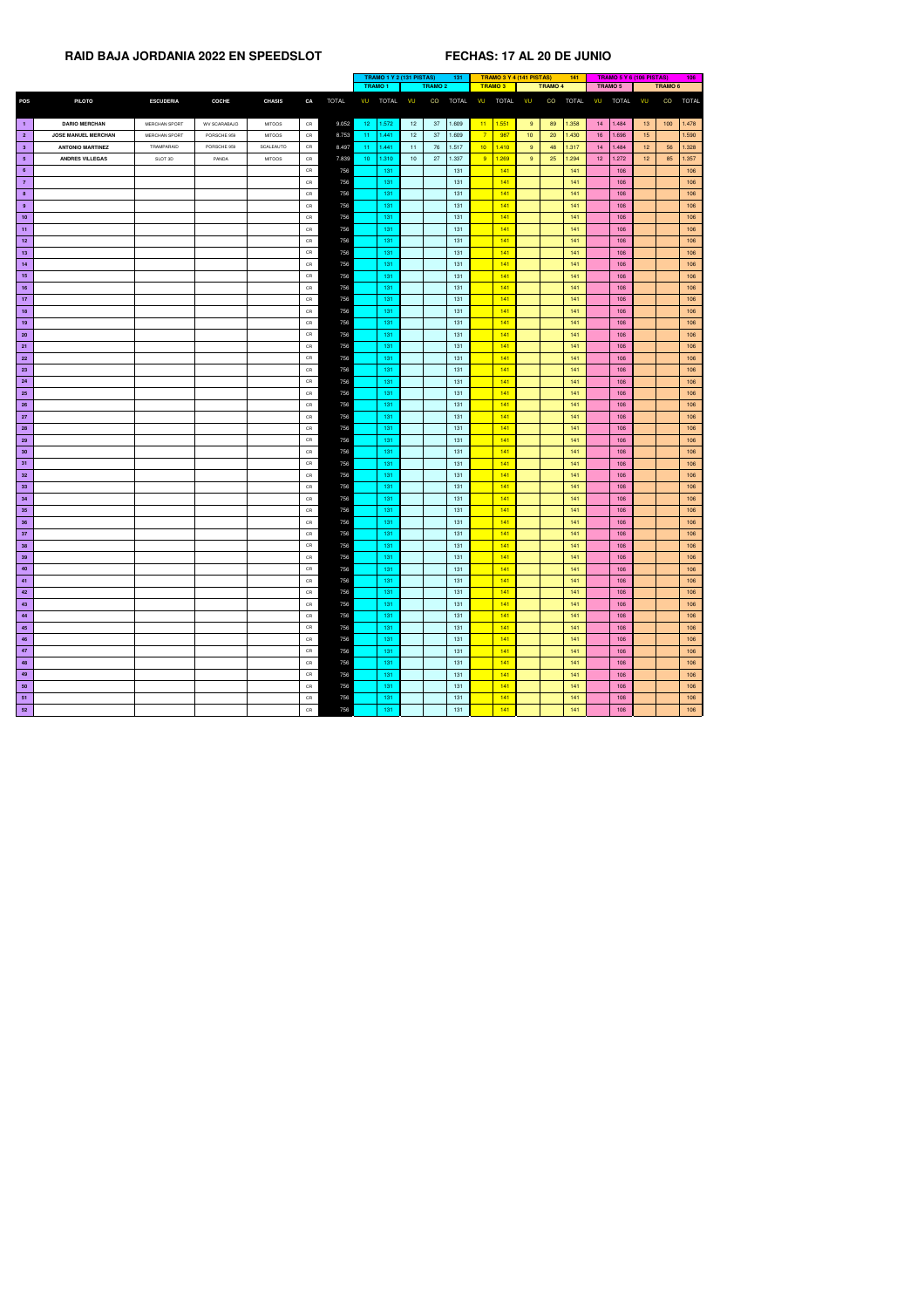|                 |                            |                      |              |               |               |              |                          | TRAMO 1 Y 2 (131 PISTAS)<br>131 |                |              | <b>TRAMO 3 Y 4 (141 PISTAS)</b> |                |                 | 141            |              |                 | TRAMO 5 Y 6 (106 PISTAS) |                 | 106            |              |
|-----------------|----------------------------|----------------------|--------------|---------------|---------------|--------------|--------------------------|---------------------------------|----------------|--------------|---------------------------------|----------------|-----------------|----------------|--------------|-----------------|--------------------------|-----------------|----------------|--------------|
|                 |                            |                      |              |               |               |              | <b>TRAMO1</b>            |                                 | <b>TRAMO 2</b> |              |                                 | <b>TRAMO 3</b> |                 | <b>TRAMO 4</b> |              | <b>TRAMO 5</b>  |                          |                 | <b>TRAMO 6</b> |              |
| <b>POS</b>      | <b>PILOTO</b>              | <b>ESCUDERIA</b>     | <b>COCHE</b> | <b>CHASIS</b> | CA            | <b>TOTAL</b> | <b>TOTAL</b><br>VU       | VU                              | CO             | <b>TOTAL</b> | VU                              | <b>TOTAL</b>   | VU              | CO             | <b>TOTAL</b> | VU              | <b>TOTAL</b>             | VU              | CO             | <b>TOTAL</b> |
|                 |                            |                      |              |               |               |              |                          |                                 |                |              |                                 |                |                 |                |              |                 |                          |                 |                |              |
| $\blacksquare$  | <b>DARIO MERCHAN</b>       | <b>MERCHAN SPORT</b> | WV SCARABAJO | <b>MITOOS</b> | CR            | 9.052        | 1.572<br>$12 -$          | 12 <sub>2</sub>                 | 37             | 1.609        |                                 | $11 \t 1.551$  | 9 <sup>°</sup>  | 89             | 1.358        | 14              | 1.484                    | 13 <sup>°</sup> | 100            | 1.478        |
| $\overline{2}$  | <b>JOSE MANUEL MERCHAN</b> | <b>MERCHAN SPORT</b> | PORSCHE 959  | <b>MITOOS</b> | $\mathsf{CR}$ | 8.753        | 1.441<br>$11 -$          | 12 <sub>2</sub>                 | 37             | 1.609        | $\overline{7}$                  | 987            | 10 <sup>°</sup> | 20             | 1.430        | 16 <sup>°</sup> | 1.696                    | 15              |                | 1.590        |
| $\mathbf{3}$    | <b>ANTONIO MARTINEZ</b>    | TRAMPARAID           | PORSCHE 959  | SCALEAUTO     | ${\sf CR}$    | 8.497        | 1.441<br>$11 -$          | 11 <sub>1</sub>                 | 76             | 1.517        | 10 <sup>2</sup>                 | 1.410          | 9 <sup>°</sup>  | 48             | 1.317        | 14              | 1.484                    | 12 <sup>7</sup> | 56             | 1.328        |
| $5\phantom{.0}$ | <b>ANDRES VILLEGAS</b>     | SLOT 3D              | PANDA        | <b>MITOOS</b> | CR            | 7.839        | 10 <sub>1</sub><br>1.310 | 10 <sup>1</sup>                 | 27             | 1.337        | 9                               | 1.269          | 9 <sup>°</sup>  | 25             | 1.294        | 12 <sup>7</sup> | 1.272                    | 12 <sub>2</sub> | 85             | 1.357        |
| $6\phantom{.}6$ |                            |                      |              |               | ${\sf CR}$    | 756          | 131                      |                                 |                | 131          |                                 | 141            |                 |                | 141          |                 | 106                      |                 |                | 106          |
| $\overline{7}$  |                            |                      |              |               | CR            | 756          | 131                      |                                 |                | 131          |                                 | 141            |                 |                | 141          |                 | 106                      |                 |                | 106          |
| 8               |                            |                      |              |               | CR            | 756          | $131$                    |                                 |                | 131          |                                 | 141            |                 |                | 141          |                 | 106                      |                 |                | 106          |
| 9               |                            |                      |              |               | CR            | 756          | 131                      |                                 |                | 131          |                                 | 141            |                 |                | 141          |                 | 106                      |                 |                | 106          |
| 10              |                            |                      |              |               | CR            | 756          | 131                      |                                 |                | 131          |                                 | 141            |                 |                | 141          |                 | 106                      |                 |                | 106          |
| 11              |                            |                      |              |               | CR            | 756          | 131                      |                                 |                | 131          |                                 | 141            |                 |                | 141          |                 | 106                      |                 |                | 106          |
| 12              |                            |                      |              |               | CR            | 756          | 131                      |                                 |                | 131          |                                 | 141            |                 |                | 141          |                 | 106                      |                 |                | 106          |
| 13              |                            |                      |              |               | CR            | 756          | 131                      |                                 |                | 131          |                                 | 141            |                 |                | 141          |                 | 106                      |                 |                | 106          |
| 14              |                            |                      |              |               | CR            | 756          | 131                      |                                 |                | 131          |                                 | 141            |                 |                | 141          |                 | 106                      |                 |                | 106          |
| 15              |                            |                      |              |               | CR            | 756          | 131                      |                                 |                | 131          |                                 | 141            |                 |                | 141          |                 | 106                      |                 |                | 106          |
| 16              |                            |                      |              |               | CR            | 756          | 131                      |                                 |                | 131          |                                 | 141            |                 |                | 141          |                 | 106                      |                 |                | 106          |
| 17              |                            |                      |              |               | CR            | 756          | 131                      |                                 |                | 131          |                                 | 141            |                 |                | 141          |                 | 106                      |                 |                | 106          |
| 18              |                            |                      |              |               | CR            | 756          | 131                      |                                 |                | 131          |                                 | 141            |                 |                | 141          |                 | 106                      |                 |                | 106          |
| 19              |                            |                      |              |               | CR            | 756          | 131                      |                                 |                | 131          |                                 | 141            |                 |                | 141          |                 | 106                      |                 |                | 106          |
| <b>20</b>       |                            |                      |              |               | CR            | 756          | 131                      |                                 |                | 131          |                                 | 141            |                 |                | 141          |                 | 106                      |                 |                | 106          |
|                 |                            |                      |              |               | CR            | 756          | 131                      |                                 |                | 131          |                                 | 141            |                 |                | 141          |                 | 106                      |                 |                | 106          |
| 21              |                            |                      |              |               |               |              |                          |                                 |                |              |                                 |                |                 |                | 141          |                 |                          |                 |                |              |
| <b>22</b>       |                            |                      |              |               | CR            | 756          | 131                      |                                 |                | 131          |                                 | 141            |                 |                |              |                 | 106                      |                 |                | 106          |
| 23              |                            |                      |              |               | CR            | 756          | 131                      |                                 |                | 131          |                                 | 141            |                 |                | 141          |                 | 106                      |                 |                | 106          |
| 24              |                            |                      |              |               | CR            | 756          | 131                      |                                 |                | 131          |                                 | 141            |                 |                | 141          |                 | 106                      |                 |                | 106          |
| 25              |                            |                      |              |               | CR            | 756          | 131                      |                                 |                | 131          |                                 | 141            |                 |                | 141          |                 | 106                      |                 |                | 106          |
| <b>26</b>       |                            |                      |              |               | CR            | 756          | 131                      |                                 |                | 131          |                                 | 141            |                 |                | 141          |                 | 106                      |                 |                | 106          |
| 27              |                            |                      |              |               | CR            | 756          | 131                      |                                 |                | 131          |                                 | 141            |                 |                | 141          |                 | 106                      |                 |                | 106          |
| <b>28</b>       |                            |                      |              |               | CR            | 756          | 131                      |                                 |                | 131          |                                 | 141            |                 |                | 141          |                 | 106                      |                 |                | 106          |
| 29              |                            |                      |              |               | CR            | 756          | 131                      |                                 |                | 131          |                                 | 141            |                 |                | 141          |                 | 106                      |                 |                | 106          |
| 30 <sub>2</sub> |                            |                      |              |               | CR            | 756          | 131                      |                                 |                | 131          |                                 | 141            |                 |                | 141          |                 | 106                      |                 |                | 106          |
| 31              |                            |                      |              |               | CR            | 756          | 131                      |                                 |                | 131          |                                 | 141            |                 |                | 141          |                 | 106                      |                 |                | 106          |
| 32              |                            |                      |              |               | CR            | 756          | 131                      |                                 |                | 131          |                                 | 141            |                 |                | 141          |                 | 106                      |                 |                | 106          |
| 33              |                            |                      |              |               | CR            | 756          | 131                      |                                 |                | 131          |                                 | 141            |                 |                | 141          |                 | 106                      |                 |                | 106          |
| 34              |                            |                      |              |               | CR            | 756          | 131                      |                                 |                | 131          |                                 | 141            |                 |                | 141          |                 | 106                      |                 |                | 106          |
| 35              |                            |                      |              |               | CR            | 756          | 131                      |                                 |                | $131$        |                                 | 141            |                 |                | 141          |                 | 106                      |                 |                | 106          |
| 36              |                            |                      |              |               | CR            | 756          | 131                      |                                 |                | 131          |                                 | 141            |                 |                | 141          |                 | 106                      |                 |                | 106          |
| 37              |                            |                      |              |               | CR            | 756          | 131                      |                                 |                | 131          |                                 | 141            |                 |                | 141          |                 | 106                      |                 |                | 106          |
| 38              |                            |                      |              |               | CR            | 756          | 131                      |                                 |                | 131          |                                 | 141            |                 |                | 141          |                 | 106                      |                 |                | 106          |
| 39              |                            |                      |              |               | CR            | 756          | 131                      |                                 |                | 131          |                                 | 141            |                 |                | 141          |                 | 106                      |                 |                | 106          |
| 40              |                            |                      |              |               | CR            | 756          | 131                      |                                 |                | 131          |                                 | 141            |                 |                | 141          |                 | 106                      |                 |                | 106          |
| 41              |                            |                      |              |               | CR            | 756          | 131                      |                                 |                | 131          |                                 | 141            |                 |                | 141          |                 | 106                      |                 |                | 106          |
| 42              |                            |                      |              |               | CR            | 756          | 131                      |                                 |                | 131          |                                 | 141            |                 |                | 141          |                 | 106                      |                 |                | 106          |
| 43              |                            |                      |              |               | CR            | 756          | 131                      |                                 |                | 131          |                                 | 141            |                 |                | 141          |                 | 106                      |                 |                | 106          |
| 44              |                            |                      |              |               | CR            | 756          | 131                      |                                 |                | 131          |                                 | 141            |                 |                | 141          |                 | 106                      |                 |                | 106          |
| 45              |                            |                      |              |               | CR            | 756          | 131                      |                                 |                | 131          |                                 | 141            |                 |                | 141          |                 | 106                      |                 |                | 106          |
| 46              |                            |                      |              |               | CR            | 756          | 131                      |                                 |                | 131          |                                 | 141            |                 |                | 141          |                 | 106                      |                 |                | 106          |
| 47              |                            |                      |              |               | CR            | 756          | 131                      |                                 |                | 131          |                                 | 141            |                 |                | 141          |                 | 106                      |                 |                | 106          |
| 48              |                            |                      |              |               | CR            | 756          | 131                      |                                 |                | 131          |                                 | 141            |                 |                | 141          |                 | 106                      |                 |                | 106          |
| 49              |                            |                      |              |               | CR            | 756          | 131                      |                                 |                | 131          |                                 | 141            |                 |                | 141          |                 | 106                      |                 |                | 106          |
| 50              |                            |                      |              |               | CR            | 756          | 131                      |                                 |                | 131          |                                 | 141            |                 |                | 141          |                 | 106                      |                 |                | 106          |
| 51              |                            |                      |              |               | CR            | 756          | 131                      |                                 |                | 131          |                                 | 141            |                 |                | 141          |                 | 106                      |                 |                | 106          |
| 52              |                            |                      |              |               | CR            | 756          | 131                      |                                 |                | 131          |                                 | 141            |                 |                | 141          |                 | 106                      |                 |                | 106          |
|                 |                            |                      |              |               |               |              |                          |                                 |                |              |                                 |                |                 |                |              |                 |                          |                 |                |              |